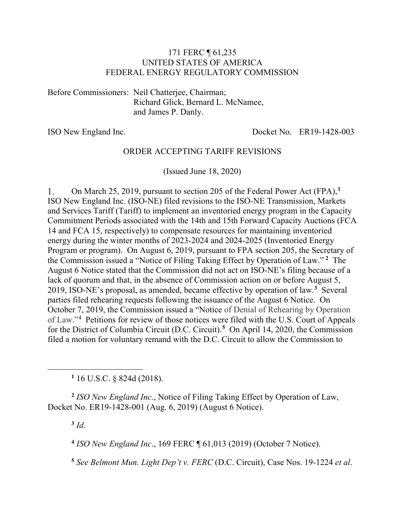#### 171 FERC ¶ 61,235 UNITED STATES OF AMERICA FEDERAL ENERGY REGULATORY COMMISSION

Before Commissioners: Neil Chatterjee, Chairman; Richard Glick, Bernard L. McNamee, and James P. Danly.

ISO New England Inc. Docket No. ER19-1428-003

#### ORDER ACCEPTING TARIFF REVISIONS

(Issued June 18, 2020)

On March 25, 2019, pursuant to section 205 of the Federal Power Act (FPA),**[1](#page-0-0)** 1. ISO New England Inc. (ISO-NE) filed revisions to the ISO-NE Transmission, Markets and Services Tariff (Tariff) to implement an inventoried energy program in the Capacity Commitment Periods associated with the 14th and 15th Forward Capacity Auctions (FCA 14 and FCA 15, respectively) to compensate resources for maintaining inventoried energy during the winter months of 2023-2024 and 2024-2025 (Inventoried Energy Program or program). On August 6, 2019, pursuant to FPA section 205, the Secretary of the Commission issued a "Notice of Filing Taking Effect by Operation of Law." **[2](#page-0-1)** The August 6 Notice stated that the Commission did not act on ISO-NE's filing because of a lack of quorum and that, in the absence of Commission action on or before August 5, 2019, ISO-NE's proposal, as amended, became effective by operation of law.**[3](#page-0-2)** Several parties filed rehearing requests following the issuance of the August 6 Notice. On October 7, 2019, the Commission issued a "Notice of Denial of Rehearing by Operation of Law."**[4](#page-0-3)** Petitions for review of those notices were filed with the U.S. Court of Appeals for the District of Columbia Circuit (D.C. Circuit).**[5](#page-0-4)** On April 14, 2020, the Commission filed a motion for voluntary remand with the D.C. Circuit to allow the Commission to

**<sup>1</sup>** 16 U.S.C. § 824d (2018).

<span id="page-0-3"></span><span id="page-0-2"></span><span id="page-0-1"></span>**<sup>2</sup>** *ISO New England Inc.*, Notice of Filing Taking Effect by Operation of Law, Docket No. ER19-1428-001 (Aug. 6, 2019) (August 6 Notice).

**<sup>3</sup>** *Id.* 

<span id="page-0-0"></span> $\overline{a}$ 

**<sup>4</sup>** *ISO New England Inc*., 169 FERC ¶ 61,013 (2019) (October 7 Notice).

<span id="page-0-4"></span>**<sup>5</sup>** *See Belmont Mun. Light Dep't v. FERC* (D.C. Circuit), Case Nos. 19-1224 *et al*.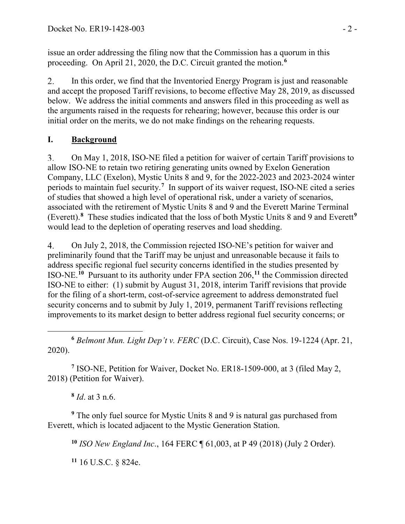issue an order addressing the filing now that the Commission has a quorum in this proceeding. On April 21, 2020, the D.C. Circuit granted the motion.**[6](#page-1-0)**

In this order, we find that the Inventoried Energy Program is just and reasonable 2. and accept the proposed Tariff revisions, to become effective May 28, 2019, as discussed below. We address the initial comments and answers filed in this proceeding as well as the arguments raised in the requests for rehearing; however, because this order is our initial order on the merits, we do not make findings on the rehearing requests.

## **I. Background**

 $\overline{3}$ . On May 1, 2018, ISO-NE filed a petition for waiver of certain Tariff provisions to allow ISO-NE to retain two retiring generating units owned by Exelon Generation Company, LLC (Exelon), Mystic Units 8 and 9, for the 2022-2023 and 2023-2024 winter periods to maintain fuel security.**[7](#page-1-1)** In support of its waiver request, ISO-NE cited a series of studies that showed a high level of operational risk, under a variety of scenarios, associated with the retirement of Mystic Units 8 and 9 and the Everett Marine Terminal (Everett).**[8](#page-1-2)** These studies indicated that the loss of both Mystic Units 8 and 9 and Everett**[9](#page-1-3)** would lead to the depletion of operating reserves and load shedding.

 $\overline{4}$ . On July 2, 2018, the Commission rejected ISO-NE's petition for waiver and preliminarily found that the Tariff may be unjust and unreasonable because it fails to address specific regional fuel security concerns identified in the studies presented by ISO-NE.**[10](#page-1-4)** Pursuant to its authority under FPA section 206,**[11](#page-1-5)** the Commission directed ISO-NE to either: (1) submit by August 31, 2018, interim Tariff revisions that provide for the filing of a short-term, cost-of-service agreement to address demonstrated fuel security concerns and to submit by July 1, 2019, permanent Tariff revisions reflecting improvements to its market design to better address regional fuel security concerns; or

<span id="page-1-0"></span> $\overline{a}$ **<sup>6</sup>** *Belmont Mun. Light Dep't v. FERC* (D.C. Circuit), Case Nos. 19-1224 (Apr. 21, 2020).

<span id="page-1-1"></span>**<sup>7</sup>** ISO-NE, Petition for Waiver, Docket No. ER18-1509-000, at 3 (filed May 2, 2018) (Petition for Waiver).

**<sup>8</sup>** *Id*. at 3 n.6.

<span id="page-1-5"></span><span id="page-1-4"></span><span id="page-1-3"></span><span id="page-1-2"></span>**<sup>9</sup>** The only fuel source for Mystic Units 8 and 9 is natural gas purchased from Everett, which is located adjacent to the Mystic Generation Station.

**<sup>10</sup>** *ISO New England Inc*., 164 FERC ¶ 61,003, at P 49 (2018) (July 2 Order).

**<sup>11</sup>** 16 U.S.C. § 824e.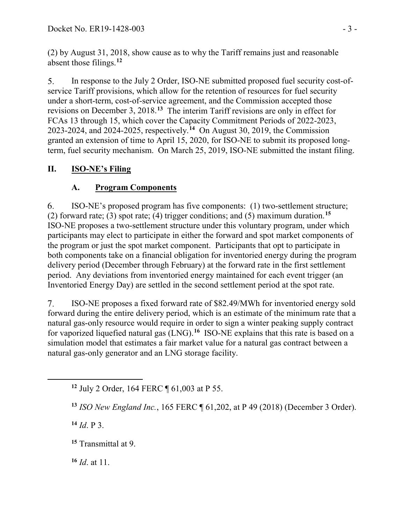(2) by August 31, 2018, show cause as to why the Tariff remains just and reasonable absent those filings.**[12](#page-2-0)**

In response to the July 2 Order, ISO-NE submitted proposed fuel security cost-of- $5<sub>1</sub>$ service Tariff provisions, which allow for the retention of resources for fuel security under a short-term, cost-of-service agreement, and the Commission accepted those revisions on December 3, 2018.**[13](#page-2-1)** The interim Tariff revisions are only in effect for FCAs 13 through 15, which cover the Capacity Commitment Periods of 2022-2023, 2023-2024, and 2024-2025, respectively.**[14](#page-2-2)** On August 30, 2019, the Commission granted an extension of time to April 15, 2020, for ISO-NE to submit its proposed longterm, fuel security mechanism. On March 25, 2019, ISO-NE submitted the instant filing.

## **II. ISO-NE's Filing**

## **A. Program Components**

6. ISO-NE's proposed program has five components: (1) two-settlement structure; (2) forward rate; (3) spot rate; (4) trigger conditions; and (5) maximum duration.**[15](#page-2-3)** ISO-NE proposes a two-settlement structure under this voluntary program, under which participants may elect to participate in either the forward and spot market components of the program or just the spot market component. Participants that opt to participate in both components take on a financial obligation for inventoried energy during the program delivery period (December through February) at the forward rate in the first settlement period. Any deviations from inventoried energy maintained for each event trigger (an Inventoried Energy Day) are settled in the second settlement period at the spot rate.

 $7.$ ISO-NE proposes a fixed forward rate of \$82.49/MWh for inventoried energy sold forward during the entire delivery period, which is an estimate of the minimum rate that a natural gas-only resource would require in order to sign a winter peaking supply contract for vaporized liquefied natural gas (LNG).**[16](#page-2-4)** ISO-NE explains that this rate is based on a simulation model that estimates a fair market value for a natural gas contract between a natural gas-only generator and an LNG storage facility.

**<sup>14</sup>** *Id*. P 3.

<span id="page-2-2"></span><span id="page-2-1"></span><span id="page-2-0"></span> $\overline{a}$ 

<span id="page-2-3"></span>**<sup>15</sup>** Transmittal at 9.

<span id="page-2-4"></span>**<sup>16</sup>** *Id*. at 11.

**<sup>12</sup>** July 2 Order, 164 FERC ¶ 61,003 at P 55.

**<sup>13</sup>** *ISO New England Inc.*, 165 FERC ¶ 61,202, at P 49 (2018) (December 3 Order).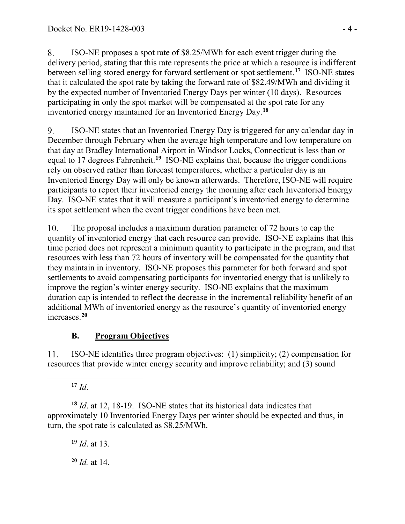8. ISO-NE proposes a spot rate of \$8.25/MWh for each event trigger during the delivery period, stating that this rate represents the price at which a resource is indifferent between selling stored energy for forward settlement or spot settlement.**[17](#page-3-0)** ISO-NE states that it calculated the spot rate by taking the forward rate of \$82.49/MWh and dividing it by the expected number of Inventoried Energy Days per winter (10 days). Resources participating in only the spot market will be compensated at the spot rate for any inventoried energy maintained for an Inventoried Energy Day.**[18](#page-3-1)**

ISO-NE states that an Inventoried Energy Day is triggered for any calendar day in 9. December through February when the average high temperature and low temperature on that day at Bradley International Airport in Windsor Locks, Connecticut is less than or equal to 17 degrees Fahrenheit.**[19](#page-3-2)** ISO-NE explains that, because the trigger conditions rely on observed rather than forecast temperatures, whether a particular day is an Inventoried Energy Day will only be known afterwards. Therefore, ISO-NE will require participants to report their inventoried energy the morning after each Inventoried Energy Day. ISO-NE states that it will measure a participant's inventoried energy to determine its spot settlement when the event trigger conditions have been met.

 $10.$ The proposal includes a maximum duration parameter of 72 hours to cap the quantity of inventoried energy that each resource can provide. ISO-NE explains that this time period does not represent a minimum quantity to participate in the program, and that resources with less than 72 hours of inventory will be compensated for the quantity that they maintain in inventory. ISO-NE proposes this parameter for both forward and spot settlements to avoid compensating participants for inventoried energy that is unlikely to improve the region's winter energy security. ISO-NE explains that the maximum duration cap is intended to reflect the decrease in the incremental reliability benefit of an additional MWh of inventoried energy as the resource's quantity of inventoried energy increases.**[20](#page-3-3)**

## **B. Program Objectives**

11. ISO-NE identifies three program objectives: (1) simplicity; (2) compensation for resources that provide winter energy security and improve reliability; and (3) sound

**<sup>17</sup>** *Id*.

<span id="page-3-0"></span> $\overline{a}$ 

<span id="page-3-2"></span><span id="page-3-1"></span>**<sup>18</sup>** *Id*. at 12, 18-19. ISO-NE states that its historical data indicates that approximately 10 Inventoried Energy Days per winter should be expected and thus, in turn, the spot rate is calculated as \$8.25/MWh.

**<sup>19</sup>** *Id*. at 13.

<span id="page-3-3"></span>**<sup>20</sup>** *Id.* at 14.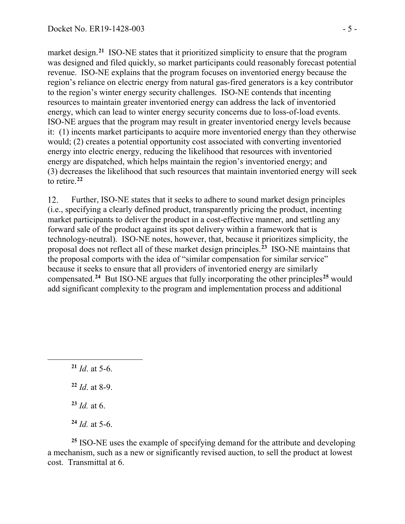market design.<sup>[21](#page-4-0)</sup> ISO-NE states that it prioritized simplicity to ensure that the program was designed and filed quickly, so market participants could reasonably forecast potential revenue. ISO-NE explains that the program focuses on inventoried energy because the region's reliance on electric energy from natural gas-fired generators is a key contributor to the region's winter energy security challenges. ISO-NE contends that incenting resources to maintain greater inventoried energy can address the lack of inventoried energy, which can lead to winter energy security concerns due to loss-of-load events. ISO-NE argues that the program may result in greater inventoried energy levels because it: (1) incents market participants to acquire more inventoried energy than they otherwise would; (2) creates a potential opportunity cost associated with converting inventoried energy into electric energy, reducing the likelihood that resources with inventoried energy are dispatched, which helps maintain the region's inventoried energy; and (3) decreases the likelihood that such resources that maintain inventoried energy will seek to retire.**[22](#page-4-1)**

Further, ISO-NE states that it seeks to adhere to sound market design principles 12. (i.e., specifying a clearly defined product, transparently pricing the product, incenting market participants to deliver the product in a cost-effective manner, and settling any forward sale of the product against its spot delivery within a framework that is technology-neutral). ISO-NE notes, however, that, because it prioritizes simplicity, the proposal does not reflect all of these market design principles.**[23](#page-4-2)** ISO-NE maintains that the proposal comports with the idea of "similar compensation for similar service" because it seeks to ensure that all providers of inventoried energy are similarly compensated.**[24](#page-4-3)** But ISO-NE argues that fully incorporating the other principles**[25](#page-4-4)** would add significant complexity to the program and implementation process and additional

<span id="page-4-1"></span><span id="page-4-0"></span> $\overline{a}$ 

- **<sup>22</sup>** *Id*. at 8-9.
- **<sup>23</sup>** *Id.* at 6.
- **<sup>24</sup>** *Id.* at 5-6.

<span id="page-4-4"></span><span id="page-4-3"></span><span id="page-4-2"></span>**<sup>25</sup>** ISO-NE uses the example of specifying demand for the attribute and developing a mechanism, such as a new or significantly revised auction, to sell the product at lowest cost. Transmittal at 6.

**<sup>21</sup>** *Id*. at 5-6.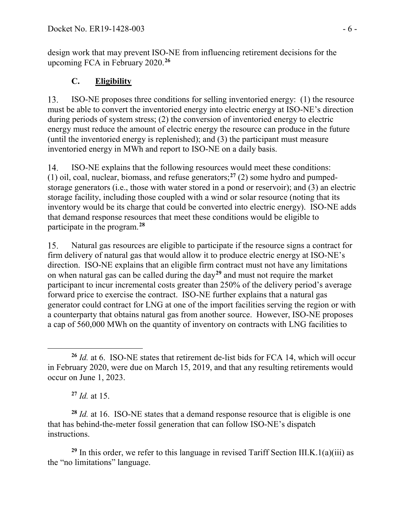design work that may prevent ISO-NE from influencing retirement decisions for the upcoming FCA in February 2020.**[26](#page-5-0)**

### **C. Eligibility**

ISO-NE proposes three conditions for selling inventoried energy: (1) the resource 13. must be able to convert the inventoried energy into electric energy at ISO-NE's direction during periods of system stress; (2) the conversion of inventoried energy to electric energy must reduce the amount of electric energy the resource can produce in the future (until the inventoried energy is replenished); and (3) the participant must measure inventoried energy in MWh and report to ISO-NE on a daily basis.

ISO-NE explains that the following resources would meet these conditions: 14. (1) oil, coal, nuclear, biomass, and refuse generators;**[27](#page-5-1)** (2) some hydro and pumpedstorage generators (i.e., those with water stored in a pond or reservoir); and (3) an electric storage facility, including those coupled with a wind or solar resource (noting that its inventory would be its charge that could be converted into electric energy). ISO-NE adds that demand response resources that meet these conditions would be eligible to participate in the program.**[28](#page-5-2)**

15. Natural gas resources are eligible to participate if the resource signs a contract for firm delivery of natural gas that would allow it to produce electric energy at ISO-NE's direction. ISO-NE explains that an eligible firm contract must not have any limitations on when natural gas can be called during the day**[29](#page-5-3)** and must not require the market participant to incur incremental costs greater than 250% of the delivery period's average forward price to exercise the contract. ISO-NE further explains that a natural gas generator could contract for LNG at one of the import facilities serving the region or with a counterparty that obtains natural gas from another source. However, ISO-NE proposes a cap of 560,000 MWh on the quantity of inventory on contracts with LNG facilities to

<span id="page-5-2"></span><span id="page-5-1"></span>**<sup>28</sup>** *Id.* at 16. ISO-NE states that a demand response resource that is eligible is one that has behind-the-meter fossil generation that can follow ISO-NE's dispatch instructions.

<span id="page-5-3"></span><sup>29</sup> In this order, we refer to this language in revised Tariff Section III.K.1(a)(iii) as the "no limitations" language.

<span id="page-5-0"></span> $\overline{a}$ **<sup>26</sup>** *Id.* at 6. ISO-NE states that retirement de-list bids for FCA 14, which will occur in February 2020, were due on March 15, 2019, and that any resulting retirements would occur on June 1, 2023.

**<sup>27</sup>** *Id.* at 15.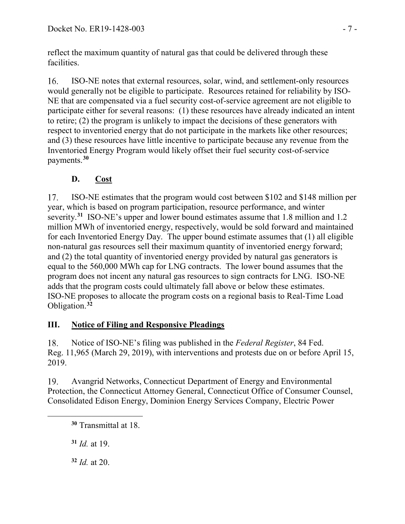reflect the maximum quantity of natural gas that could be delivered through these facilities.

 $16<sub>1</sub>$ ISO-NE notes that external resources, solar, wind, and settlement-only resources would generally not be eligible to participate. Resources retained for reliability by ISO-NE that are compensated via a fuel security cost-of-service agreement are not eligible to participate either for several reasons: (1) these resources have already indicated an intent to retire; (2) the program is unlikely to impact the decisions of these generators with respect to inventoried energy that do not participate in the markets like other resources; and (3) these resources have little incentive to participate because any revenue from the Inventoried Energy Program would likely offset their fuel security cost-of-service payments.**[30](#page-6-0)**

# **D. Cost**

17. ISO-NE estimates that the program would cost between \$102 and \$148 million per year, which is based on program participation, resource performance, and winter severity.**[31](#page-6-1)** ISO-NE's upper and lower bound estimates assume that 1.8 million and 1.2 million MWh of inventoried energy, respectively, would be sold forward and maintained for each Inventoried Energy Day. The upper bound estimate assumes that (1) all eligible non-natural gas resources sell their maximum quantity of inventoried energy forward; and (2) the total quantity of inventoried energy provided by natural gas generators is equal to the 560,000 MWh cap for LNG contracts. The lower bound assumes that the program does not incent any natural gas resources to sign contracts for LNG. ISO-NE adds that the program costs could ultimately fall above or below these estimates. ISO-NE proposes to allocate the program costs on a regional basis to Real-Time Load Obligation.**[32](#page-6-2)**

## **III. Notice of Filing and Responsive Pleadings**

18. Notice of ISO-NE's filing was published in the *Federal Register*, 84 Fed. Reg. 11,965 (March 29, 2019), with interventions and protests due on or before April 15, 2019.

19. Avangrid Networks, Connecticut Department of Energy and Environmental Protection, the Connecticut Attorney General, Connecticut Office of Consumer Counsel, Consolidated Edison Energy, Dominion Energy Services Company, Electric Power

**<sup>31</sup>** *Id.* at 19.

<span id="page-6-2"></span><span id="page-6-1"></span><span id="page-6-0"></span> $\overline{a}$ 

**<sup>32</sup>** *Id.* at 20.

**<sup>30</sup>** Transmittal at 18.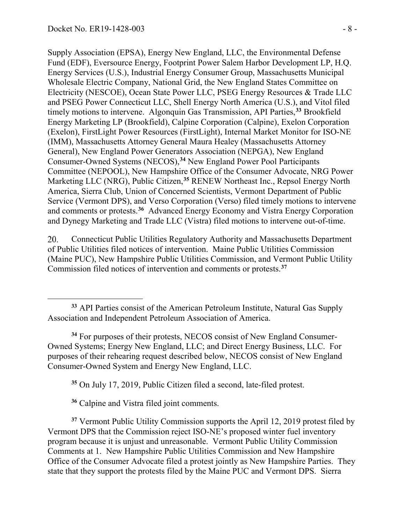$\overline{a}$ 

Supply Association (EPSA), Energy New England, LLC, the Environmental Defense Fund (EDF), Eversource Energy, Footprint Power Salem Harbor Development LP, H.Q. Energy Services (U.S.), Industrial Energy Consumer Group, Massachusetts Municipal Wholesale Electric Company, National Grid, the New England States Committee on Electricity (NESCOE), Ocean State Power LLC, PSEG Energy Resources & Trade LLC and PSEG Power Connecticut LLC, Shell Energy North America (U.S.), and Vitol filed timely motions to intervene. Algonquin Gas Transmission, API Parties,**[33](#page-7-0)** Brookfield Energy Marketing LP (Brookfield), Calpine Corporation (Calpine), Exelon Corporation (Exelon), FirstLight Power Resources (FirstLight), Internal Market Monitor for ISO-NE (IMM), Massachusetts Attorney General Maura Healey (Massachusetts Attorney General), New England Power Generators Association (NEPGA), New England Consumer-Owned Systems (NECOS),**[34](#page-7-1)** New England Power Pool Participants Committee (NEPOOL), New Hampshire Office of the Consumer Advocate, NRG Power Marketing LLC (NRG), Public Citizen,**[35](#page-7-2)** RENEW Northeast Inc., Repsol Energy North America, Sierra Club, Union of Concerned Scientists, Vermont Department of Public Service (Vermont DPS), and Verso Corporation (Verso) filed timely motions to intervene and comments or protests.**[36](#page-7-3)** Advanced Energy Economy and Vistra Energy Corporation and Dynegy Marketing and Trade LLC (Vistra) filed motions to intervene out-of-time.

Connecticut Public Utilities Regulatory Authority and Massachusetts Department 20. of Public Utilities filed notices of intervention. Maine Public Utilities Commission (Maine PUC), New Hampshire Public Utilities Commission, and Vermont Public Utility Commission filed notices of intervention and comments or protests.**[37](#page-7-4)**

<span id="page-7-1"></span>**<sup>34</sup>** For purposes of their protests, NECOS consist of New England Consumer-Owned Systems; Energy New England, LLC; and Direct Energy Business, LLC. For purposes of their rehearing request described below, NECOS consist of New England Consumer-Owned System and Energy New England, LLC.

**<sup>35</sup>** On July 17, 2019, Public Citizen filed a second, late-filed protest.

**<sup>36</sup>** Calpine and Vistra filed joint comments.

<span id="page-7-4"></span><span id="page-7-3"></span><span id="page-7-2"></span>**<sup>37</sup>** Vermont Public Utility Commission supports the April 12, 2019 protest filed by Vermont DPS that the Commission reject ISO-NE's proposed winter fuel inventory program because it is unjust and unreasonable. Vermont Public Utility Commission Comments at 1. New Hampshire Public Utilities Commission and New Hampshire Office of the Consumer Advocate filed a protest jointly as New Hampshire Parties. They state that they support the protests filed by the Maine PUC and Vermont DPS. Sierra

<span id="page-7-0"></span>**<sup>33</sup>** API Parties consist of the American Petroleum Institute, Natural Gas Supply Association and Independent Petroleum Association of America.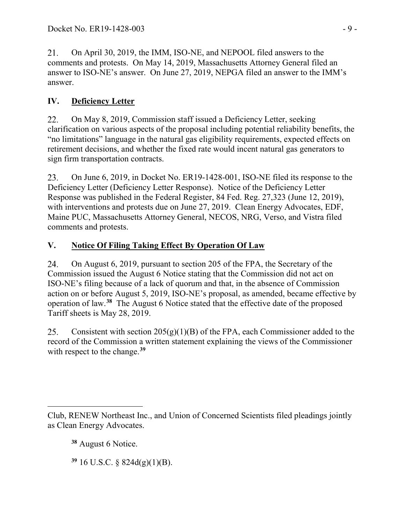21. On April 30, 2019, the IMM, ISO-NE, and NEPOOL filed answers to the comments and protests. On May 14, 2019, Massachusetts Attorney General filed an answer to ISO-NE's answer. On June 27, 2019, NEPGA filed an answer to the IMM's answer.

# **IV. Deficiency Letter**

On May 8, 2019, Commission staff issued a Deficiency Letter, seeking 22. clarification on various aspects of the proposal including potential reliability benefits, the "no limitations" language in the natural gas eligibility requirements, expected effects on retirement decisions, and whether the fixed rate would incent natural gas generators to sign firm transportation contracts.

On June 6, 2019, in Docket No. ER19-1428-001, ISO-NE filed its response to the 23. Deficiency Letter (Deficiency Letter Response). Notice of the Deficiency Letter Response was published in the Federal Register, 84 Fed. Reg. 27,323 (June 12, 2019), with interventions and protests due on June 27, 2019. Clean Energy Advocates, EDF, Maine PUC, Massachusetts Attorney General, NECOS, NRG, Verso, and Vistra filed comments and protests.

# **V. Notice Of Filing Taking Effect By Operation Of Law**

On August 6, 2019, pursuant to section 205 of the FPA, the Secretary of the 24. Commission issued the August 6 Notice stating that the Commission did not act on ISO-NE's filing because of a lack of quorum and that, in the absence of Commission action on or before August 5, 2019, ISO-NE's proposal, as amended, became effective by operation of law.**[38](#page-8-0)** The August 6 Notice stated that the effective date of the proposed Tariff sheets is May 28, 2019.

Consistent with section  $205(g)(1)(B)$  of the FPA, each Commissioner added to the 25. record of the Commission a written statement explaining the views of the Commissioner with respect to the change.**[39](#page-8-1)**

**<sup>38</sup>** August 6 Notice.

<span id="page-8-1"></span>**<sup>39</sup>** 16 U.S.C. § 824d(g)(1)(B).

<span id="page-8-0"></span> $\overline{a}$ Club, RENEW Northeast Inc., and Union of Concerned Scientists filed pleadings jointly as Clean Energy Advocates.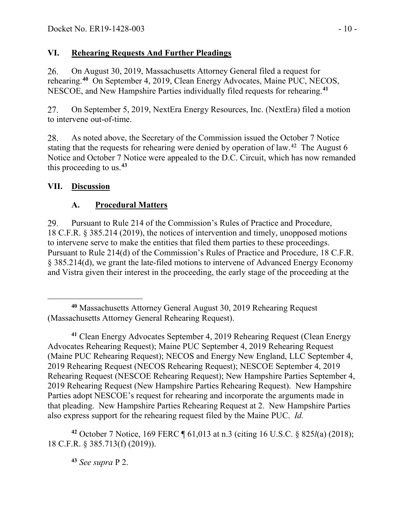### **VI. Rehearing Requests And Further Pleadings**

26. On August 30, 2019, Massachusetts Attorney General filed a request for rehearing.**[40](#page-9-0)** On September 4, 2019, Clean Energy Advocates, Maine PUC, NECOS, NESCOE, and New Hampshire Parties individually filed requests for rehearing.**[41](#page-9-1)**

27. On September 5, 2019, NextEra Energy Resources, Inc. (NextEra) filed a motion to intervene out-of-time.

As noted above, the Secretary of the Commission issued the October 7 Notice 28. stating that the requests for rehearing were denied by operation of law.**[42](#page-9-2)** The August 6 Notice and October 7 Notice were appealed to the D.C. Circuit, which has now remanded this proceeding to us.**[43](#page-9-3)**

## **VII. Discussion**

## **A. Procedural Matters**

Pursuant to Rule 214 of the Commission's Rules of Practice and Procedure, 29. 18 C.F.R. § 385.214 (2019), the notices of intervention and timely, unopposed motions to intervene serve to make the entities that filed them parties to these proceedings. Pursuant to Rule 214(d) of the Commission's Rules of Practice and Procedure, 18 C.F.R. § 385.214(d), we grant the late-filed motions to intervene of Advanced Energy Economy and Vistra given their interest in the proceeding, the early stage of the proceeding at the

<span id="page-9-1"></span>**<sup>41</sup>** Clean Energy Advocates September 4, 2019 Rehearing Request (Clean Energy Advocates Rehearing Request); Maine PUC September 4, 2019 Rehearing Request (Maine PUC Rehearing Request); NECOS and Energy New England, LLC September 4, 2019 Rehearing Request (NECOS Rehearing Request); NESCOE September 4, 2019 Rehearing Request (NESCOE Rehearing Request); New Hampshire Parties September 4, 2019 Rehearing Request (New Hampshire Parties Rehearing Request). New Hampshire Parties adopt NESCOE's request for rehearing and incorporate the arguments made in that pleading. New Hampshire Parties Rehearing Request at 2. New Hampshire Parties also express support for the rehearing request filed by the Maine PUC. *Id.* 

<span id="page-9-3"></span><span id="page-9-2"></span>**<sup>42</sup>** October 7 Notice, 169 FERC ¶ 61,013 at n.3 (citing 16 U.S.C. § 825*l*(a) (2018); 18 C.F.R. § 385.713(f) (2019)).

**<sup>43</sup>** *See supra* P 2.

<span id="page-9-0"></span> $\overline{a}$ **<sup>40</sup>** Massachusetts Attorney General August 30, 2019 Rehearing Request (Massachusetts Attorney General Rehearing Request).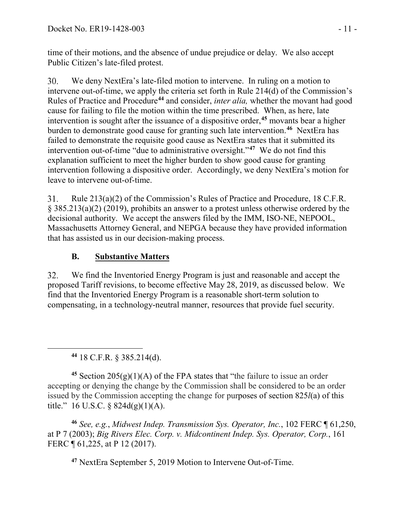time of their motions, and the absence of undue prejudice or delay. We also accept Public Citizen's late-filed protest.

30. We deny NextEra's late-filed motion to intervene. In ruling on a motion to intervene out-of-time, we apply the criteria set forth in Rule 214(d) of the Commission's Rules of Practice and Procedure**[44](#page-10-0)** and consider, *inter alia,* whether the movant had good cause for failing to file the motion within the time prescribed. When, as here, late intervention is sought after the issuance of a dispositive order,**[45](#page-10-1)** movants bear a higher burden to demonstrate good cause for granting such late intervention.**[46](#page-10-2)** NextEra has failed to demonstrate the requisite good cause as NextEra states that it submitted its intervention out-of-time "due to administrative oversight."**[47](#page-10-3)** We do not find this explanation sufficient to meet the higher burden to show good cause for granting intervention following a dispositive order. Accordingly, we deny NextEra's motion for leave to intervene out-of-time.

31. Rule 213(a)(2) of the Commission's Rules of Practice and Procedure, 18 C.F.R. § 385.213(a)(2) (2019), prohibits an answer to a protest unless otherwise ordered by the decisional authority. We accept the answers filed by the IMM, ISO-NE, NEPOOL, Massachusetts Attorney General, and NEPGA because they have provided information that has assisted us in our decision-making process.

## **B. Substantive Matters**

32. We find the Inventoried Energy Program is just and reasonable and accept the proposed Tariff revisions, to become effective May 28, 2019, as discussed below. We find that the Inventoried Energy Program is a reasonable short-term solution to compensating, in a technology-neutral manner, resources that provide fuel security.

**<sup>44</sup>** 18 C.F.R. § 385.214(d).

<span id="page-10-0"></span> $\overline{a}$ 

<span id="page-10-1"></span><sup>45</sup> Section  $205(g)(1)(A)$  of the FPA states that "the failure to issue an order accepting or denying the change by the Commission shall be considered to be an order issued by the Commission accepting the change for purposes of section 825*l*(a) of this title." 16 U.S.C. §  $824d(g)(1)(A)$ .

<span id="page-10-3"></span><span id="page-10-2"></span>**<sup>46</sup>** *See, e.g.*, *Midwest Indep. Transmission Sys. Operator, Inc.*, 102 FERC ¶ 61,250, at P 7 (2003); *Big Rivers Elec. Corp. v. Midcontinent Indep. Sys. Operator, Corp.*, 161 FERC ¶ 61,225, at P 12 (2017).

**<sup>47</sup>** NextEra September 5, 2019 Motion to Intervene Out-of-Time.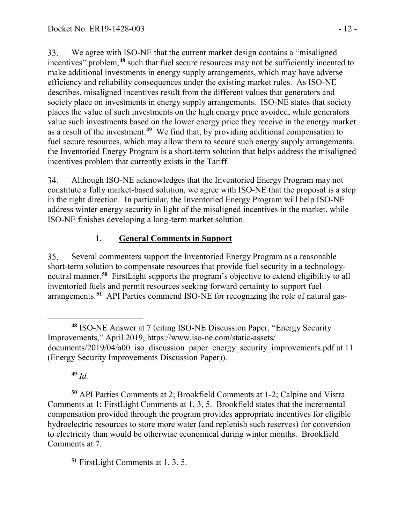33. We agree with ISO-NE that the current market design contains a "misaligned incentives" problem,**[48](#page-11-0)** such that fuel secure resources may not be sufficiently incented to make additional investments in energy supply arrangements, which may have adverse efficiency and reliability consequences under the existing market rules. As ISO-NE describes, misaligned incentives result from the different values that generators and society place on investments in energy supply arrangements. ISO-NE states that society places the value of such investments on the high energy price avoided, while generators value such investments based on the lower energy price they receive in the energy market as a result of the investment.**[49](#page-11-1)** We find that, by providing additional compensation to fuel secure resources, which may allow them to secure such energy supply arrangements, the Inventoried Energy Program is a short-term solution that helps address the misaligned incentives problem that currently exists in the Tariff.

Although ISO-NE acknowledges that the Inventoried Energy Program may not 34. constitute a fully market-based solution, we agree with ISO-NE that the proposal is a step in the right direction. In particular, the Inventoried Energy Program will help ISO-NE address winter energy security in light of the misaligned incentives in the market, while ISO-NE finishes developing a long-term market solution.

## **1. General Comments in Support**

35. Several commenters support the Inventoried Energy Program as a reasonable short-term solution to compensate resources that provide fuel security in a technologyneutral manner.**[50](#page-11-2)** FirstLight supports the program's objective to extend eligibility to all inventoried fuels and permit resources seeking forward certainty to support fuel arrangements.**[51](#page-11-3)** API Parties commend ISO-NE for recognizing the role of natural gas-

**<sup>49</sup>** *Id.*

<span id="page-11-2"></span><span id="page-11-1"></span>**<sup>50</sup>** API Parties Comments at 2; Brookfield Comments at 1-2; Calpine and Vistra Comments at 1; FirstLight Comments at 1, 3, 5. Brookfield states that the incremental compensation provided through the program provides appropriate incentives for eligible hydroelectric resources to store more water (and replenish such reserves) for conversion to electricity than would be otherwise economical during winter months. Brookfield Comments at 7.

<span id="page-11-3"></span>**<sup>51</sup>** FirstLight Comments at 1, 3, 5.

<span id="page-11-0"></span> $\overline{a}$ **<sup>48</sup>** ISO-NE Answer at 7 (citing ISO-NE Discussion Paper, "Energy Security Improvements," April 2019, https://www.iso-ne.com/static-assets/ documents/2019/04/a00 iso discussion paper energy security improvements.pdf at 11 (Energy Security Improvements Discussion Paper)).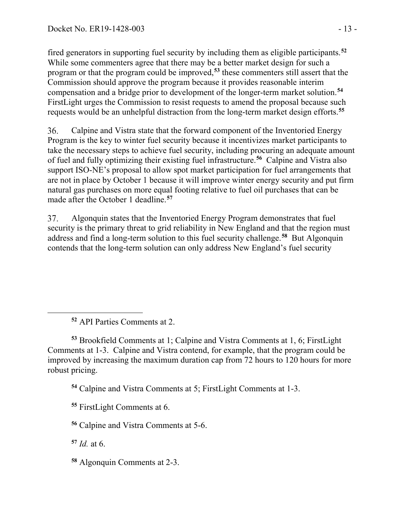fired generators in supporting fuel security by including them as eligible participants.**[52](#page-12-0)** While some commenters agree that there may be a better market design for such a program or that the program could be improved,**[53](#page-12-1)** these commenters still assert that the Commission should approve the program because it provides reasonable interim compensation and a bridge prior to development of the longer-term market solution.**[54](#page-12-2)** FirstLight urges the Commission to resist requests to amend the proposal because such requests would be an unhelpful distraction from the long-term market design efforts.**[55](#page-12-3)**

Calpine and Vistra state that the forward component of the Inventoried Energy 36. Program is the key to winter fuel security because it incentivizes market participants to take the necessary steps to achieve fuel security, including procuring an adequate amount of fuel and fully optimizing their existing fuel infrastructure.**[56](#page-12-4)** Calpine and Vistra also support ISO-NE's proposal to allow spot market participation for fuel arrangements that are not in place by October 1 because it will improve winter energy security and put firm natural gas purchases on more equal footing relative to fuel oil purchases that can be made after the October 1 deadline.**[57](#page-12-5)**

37. Algonquin states that the Inventoried Energy Program demonstrates that fuel security is the primary threat to grid reliability in New England and that the region must address and find a long-term solution to this fuel security challenge.**[58](#page-12-6)** But Algonquin contends that the long-term solution can only address New England's fuel security

**<sup>52</sup>** API Parties Comments at 2.

<span id="page-12-2"></span><span id="page-12-1"></span>**<sup>53</sup>** Brookfield Comments at 1; Calpine and Vistra Comments at 1, 6; FirstLight Comments at 1-3. Calpine and Vistra contend, for example, that the program could be improved by increasing the maximum duration cap from 72 hours to 120 hours for more robust pricing.

**<sup>54</sup>** Calpine and Vistra Comments at 5; FirstLight Comments at 1-3.

<span id="page-12-3"></span>**<sup>55</sup>** FirstLight Comments at 6.

<span id="page-12-4"></span>**<sup>56</sup>** Calpine and Vistra Comments at 5-6.

<span id="page-12-5"></span>**<sup>57</sup>** *Id.* at 6.

<span id="page-12-0"></span> $\overline{a}$ 

<span id="page-12-6"></span>**<sup>58</sup>** Algonquin Comments at 2-3.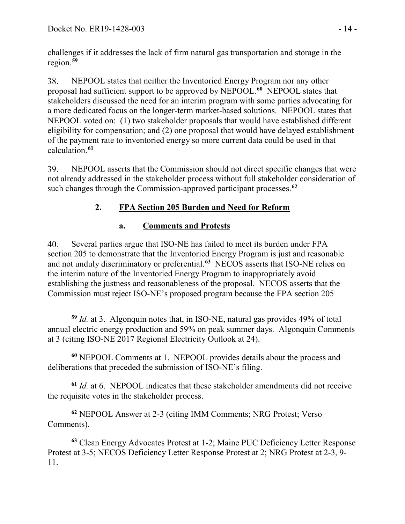challenges if it addresses the lack of firm natural gas transportation and storage in the region.**[59](#page-13-0)**

NEPOOL states that neither the Inventoried Energy Program nor any other 38. proposal had sufficient support to be approved by NEPOOL.**[60](#page-13-1)** NEPOOL states that stakeholders discussed the need for an interim program with some parties advocating for a more dedicated focus on the longer-term market-based solutions. NEPOOL states that NEPOOL voted on: (1) two stakeholder proposals that would have established different eligibility for compensation; and (2) one proposal that would have delayed establishment of the payment rate to inventoried energy so more current data could be used in that calculation.**[61](#page-13-2)**

39. NEPOOL asserts that the Commission should not direct specific changes that were not already addressed in the stakeholder process without full stakeholder consideration of such changes through the Commission-approved participant processes.**[62](#page-13-3)**

# **2. FPA Section 205 Burden and Need for Reform**

## **a. Comments and Protests**

Several parties argue that ISO-NE has failed to meet its burden under FPA 40. section 205 to demonstrate that the Inventoried Energy Program is just and reasonable and not unduly discriminatory or preferential.**[63](#page-13-4)** NECOS asserts that ISO-NE relies on the interim nature of the Inventoried Energy Program to inappropriately avoid establishing the justness and reasonableness of the proposal. NECOS asserts that the Commission must reject ISO-NE's proposed program because the FPA section 205

<span id="page-13-1"></span>**<sup>60</sup>** NEPOOL Comments at 1. NEPOOL provides details about the process and deliberations that preceded the submission of ISO-NE's filing.

<span id="page-13-2"></span>**<sup>61</sup>** *Id.* at 6. NEPOOL indicates that these stakeholder amendments did not receive the requisite votes in the stakeholder process.

<span id="page-13-3"></span>**<sup>62</sup>** NEPOOL Answer at 2-3 (citing IMM Comments; NRG Protest; Verso Comments).

<span id="page-13-4"></span>**<sup>63</sup>** Clean Energy Advocates Protest at 1-2; Maine PUC Deficiency Letter Response Protest at 3-5; NECOS Deficiency Letter Response Protest at 2; NRG Protest at 2-3, 9- 11.

<span id="page-13-0"></span> $\overline{a}$ **<sup>59</sup>** *Id.* at 3. Algonquin notes that, in ISO-NE, natural gas provides 49% of total annual electric energy production and 59% on peak summer days. Algonquin Comments at 3 (citing ISO-NE 2017 Regional Electricity Outlook at 24).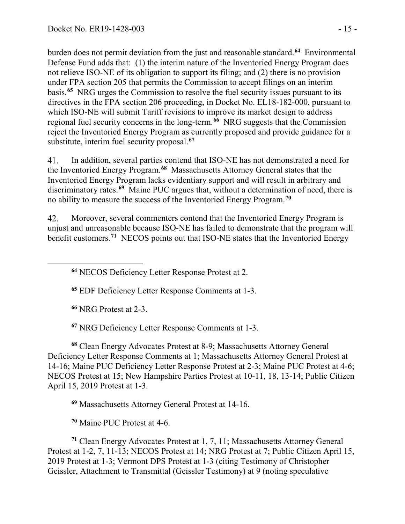burden does not permit deviation from the just and reasonable standard.**[64](#page-14-0)** Environmental Defense Fund adds that: (1) the interim nature of the Inventoried Energy Program does not relieve ISO-NE of its obligation to support its filing; and (2) there is no provision under FPA section 205 that permits the Commission to accept filings on an interim basis.**[65](#page-14-1)** NRG urges the Commission to resolve the fuel security issues pursuant to its directives in the FPA section 206 proceeding, in Docket No. EL18-182-000, pursuant to which ISO-NE will submit Tariff revisions to improve its market design to address regional fuel security concerns in the long-term.**[66](#page-14-2)** NRG suggests that the Commission reject the Inventoried Energy Program as currently proposed and provide guidance for a substitute, interim fuel security proposal.**[67](#page-14-3)**

41. In addition, several parties contend that ISO-NE has not demonstrated a need for the Inventoried Energy Program.**[68](#page-14-4)** Massachusetts Attorney General states that the Inventoried Energy Program lacks evidentiary support and will result in arbitrary and discriminatory rates.**[69](#page-14-5)** Maine PUC argues that, without a determination of need, there is no ability to measure the success of the Inventoried Energy Program.**[70](#page-14-6)**

Moreover, several commenters contend that the Inventoried Energy Program is 42. unjust and unreasonable because ISO-NE has failed to demonstrate that the program will benefit customers.**[71](#page-14-7)** NECOS points out that ISO-NE states that the Inventoried Energy

**<sup>64</sup>** NECOS Deficiency Letter Response Protest at 2.

**<sup>65</sup>** EDF Deficiency Letter Response Comments at 1-3.

**<sup>66</sup>** NRG Protest at 2-3.

<span id="page-14-1"></span><span id="page-14-0"></span> $\overline{a}$ 

**<sup>67</sup>** NRG Deficiency Letter Response Comments at 1-3.

<span id="page-14-4"></span><span id="page-14-3"></span><span id="page-14-2"></span>**<sup>68</sup>** Clean Energy Advocates Protest at 8-9; Massachusetts Attorney General Deficiency Letter Response Comments at 1; Massachusetts Attorney General Protest at 14-16; Maine PUC Deficiency Letter Response Protest at 2-3; Maine PUC Protest at 4-6; NECOS Protest at 15; New Hampshire Parties Protest at 10-11, 18, 13-14; Public Citizen April 15, 2019 Protest at 1-3.

**<sup>69</sup>** Massachusetts Attorney General Protest at 14-16.

**<sup>70</sup>** Maine PUC Protest at 4-6.

<span id="page-14-7"></span><span id="page-14-6"></span><span id="page-14-5"></span>**<sup>71</sup>** Clean Energy Advocates Protest at 1, 7, 11; Massachusetts Attorney General Protest at 1-2, 7, 11-13; NECOS Protest at 14; NRG Protest at 7; Public Citizen April 15, 2019 Protest at 1-3; Vermont DPS Protest at 1-3 (citing Testimony of Christopher Geissler, Attachment to Transmittal (Geissler Testimony) at 9 (noting speculative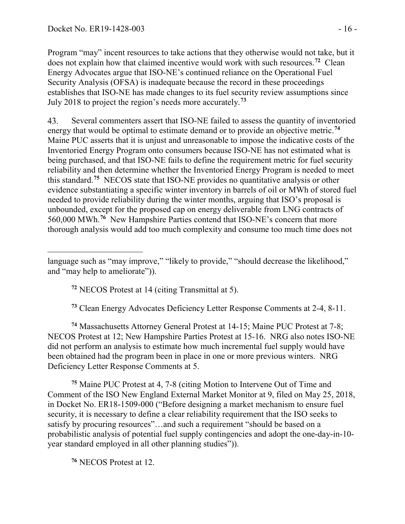Program "may" incent resources to take actions that they otherwise would not take, but it does not explain how that claimed incentive would work with such resources.**[72](#page-15-0)** Clean Energy Advocates argue that ISO-NE's continued reliance on the Operational Fuel Security Analysis (OFSA) is inadequate because the record in these proceedings establishes that ISO-NE has made changes to its fuel security review assumptions since July 2018 to project the region's needs more accurately.**[73](#page-15-1)**

Several commenters assert that ISO-NE failed to assess the quantity of inventoried 43. energy that would be optimal to estimate demand or to provide an objective metric.**[74](#page-15-2)** Maine PUC asserts that it is unjust and unreasonable to impose the indicative costs of the Inventoried Energy Program onto consumers because ISO-NE has not estimated what is being purchased, and that ISO-NE fails to define the requirement metric for fuel security reliability and then determine whether the Inventoried Energy Program is needed to meet this standard.**[75](#page-15-3)** NECOS state that ISO-NE provides no quantitative analysis or other evidence substantiating a specific winter inventory in barrels of oil or MWh of stored fuel needed to provide reliability during the winter months, arguing that ISO's proposal is unbounded, except for the proposed cap on energy deliverable from LNG contracts of 560,000 MWh.**[76](#page-15-4)** New Hampshire Parties contend that ISO-NE's concern that more thorough analysis would add too much complexity and consume too much time does not

**<sup>72</sup>** NECOS Protest at 14 (citing Transmittal at 5).

**<sup>73</sup>** Clean Energy Advocates Deficiency Letter Response Comments at 2-4, 8-11.

<span id="page-15-2"></span><span id="page-15-1"></span>**<sup>74</sup>** Massachusetts Attorney General Protest at 14-15; Maine PUC Protest at 7-8; NECOS Protest at 12; New Hampshire Parties Protest at 15-16. NRG also notes ISO-NE did not perform an analysis to estimate how much incremental fuel supply would have been obtained had the program been in place in one or more previous winters. NRG Deficiency Letter Response Comments at 5.

<span id="page-15-3"></span>**<sup>75</sup>** Maine PUC Protest at 4, 7-8 (citing Motion to Intervene Out of Time and Comment of the ISO New England External Market Monitor at 9, filed on May 25, 2018, in Docket No. ER18-1509-000 ("Before designing a market mechanism to ensure fuel security, it is necessary to define a clear reliability requirement that the ISO seeks to satisfy by procuring resources"…and such a requirement "should be based on a probabilistic analysis of potential fuel supply contingencies and adopt the one-day-in-10 year standard employed in all other planning studies")).

<span id="page-15-4"></span>**<sup>76</sup>** NECOS Protest at 12.

<span id="page-15-0"></span> $\overline{a}$ language such as "may improve," "likely to provide," "should decrease the likelihood," and "may help to ameliorate")).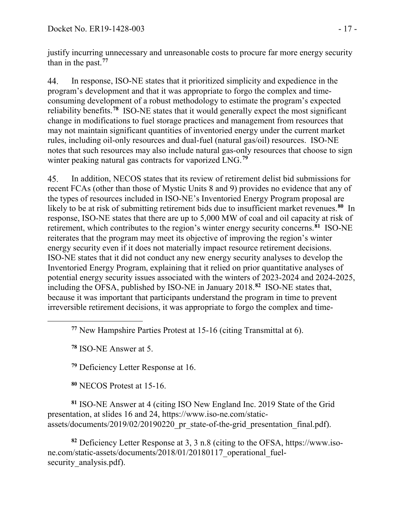justify incurring unnecessary and unreasonable costs to procure far more energy security than in the past.**[77](#page-16-0)**

In response, ISO-NE states that it prioritized simplicity and expedience in the 44. program's development and that it was appropriate to forgo the complex and timeconsuming development of a robust methodology to estimate the program's expected reliability benefits.**[78](#page-16-1)** ISO-NE states that it would generally expect the most significant change in modifications to fuel storage practices and management from resources that may not maintain significant quantities of inventoried energy under the current market rules, including oil-only resources and dual-fuel (natural gas/oil) resources. ISO-NE notes that such resources may also include natural gas-only resources that choose to sign winter peaking natural gas contracts for vaporized LNG.**[79](#page-16-2)**

45. In addition, NECOS states that its review of retirement delist bid submissions for recent FCAs (other than those of Mystic Units 8 and 9) provides no evidence that any of the types of resources included in ISO-NE's Inventoried Energy Program proposal are likely to be at risk of submitting retirement bids due to insufficient market revenues.<sup>[80](#page-16-3)</sup> In response, ISO-NE states that there are up to 5,000 MW of coal and oil capacity at risk of retirement, which contributes to the region's winter energy security concerns.**[81](#page-16-4)** ISO-NE reiterates that the program may meet its objective of improving the region's winter energy security even if it does not materially impact resource retirement decisions. ISO-NE states that it did not conduct any new energy security analyses to develop the Inventoried Energy Program, explaining that it relied on prior quantitative analyses of potential energy security issues associated with the winters of 2023-2024 and 2024-2025, including the OFSA, published by ISO-NE in January 2018.**[82](#page-16-5)** ISO-NE states that, because it was important that participants understand the program in time to prevent irreversible retirement decisions, it was appropriate to forgo the complex and time-

**<sup>77</sup>** New Hampshire Parties Protest at 15-16 (citing Transmittal at 6).

**<sup>78</sup>** ISO-NE Answer at 5.

<span id="page-16-1"></span><span id="page-16-0"></span> $\overline{a}$ 

**<sup>79</sup>** Deficiency Letter Response at 16.

**<sup>80</sup>** NECOS Protest at 15-16.

<span id="page-16-4"></span><span id="page-16-3"></span><span id="page-16-2"></span>**<sup>81</sup>** ISO-NE Answer at 4 (citing ISO New England Inc. 2019 State of the Grid presentation, at slides 16 and 24, https://www.iso-ne.com/staticassets/documents/2019/02/20190220\_pr\_state-of-the-grid\_presentation\_final.pdf).

<span id="page-16-5"></span>**<sup>82</sup>** Deficiency Letter Response at 3, 3 n.8 (citing to the OFSA, https://www.isone.com/static-assets/documents/2018/01/20180117\_operational\_fuelsecurity analysis.pdf).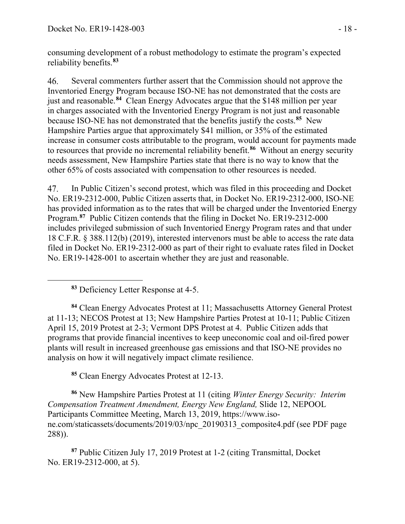consuming development of a robust methodology to estimate the program's expected reliability benefits.**[83](#page-17-0)**

 $46<sub>1</sub>$ Several commenters further assert that the Commission should not approve the Inventoried Energy Program because ISO-NE has not demonstrated that the costs are just and reasonable.**[84](#page-17-1)** Clean Energy Advocates argue that the \$148 million per year in charges associated with the Inventoried Energy Program is not just and reasonable because ISO-NE has not demonstrated that the benefits justify the costs.**[85](#page-17-2)** New Hampshire Parties argue that approximately \$41 million, or 35% of the estimated increase in consumer costs attributable to the program, would account for payments made to resources that provide no incremental reliability benefit.**[86](#page-17-3)** Without an energy security needs assessment, New Hampshire Parties state that there is no way to know that the other 65% of costs associated with compensation to other resources is needed.

47. In Public Citizen's second protest, which was filed in this proceeding and Docket No. ER19-2312-000, Public Citizen asserts that, in Docket No. ER19-2312-000, ISO-NE has provided information as to the rates that will be charged under the Inventoried Energy Program.**[87](#page-17-4)** Public Citizen contends that the filing in Docket No. ER19-2312-000 includes privileged submission of such Inventoried Energy Program rates and that under 18 C.F.R. § 388.112(b) (2019), interested intervenors must be able to access the rate data filed in Docket No. ER19-2312-000 as part of their right to evaluate rates filed in Docket No. ER19-1428-001 to ascertain whether they are just and reasonable.

<span id="page-17-0"></span> $\overline{a}$ 

<span id="page-17-1"></span>**<sup>84</sup>** Clean Energy Advocates Protest at 11; Massachusetts Attorney General Protest at 11-13; NECOS Protest at 13; New Hampshire Parties Protest at 10-11; Public Citizen April 15, 2019 Protest at 2-3; Vermont DPS Protest at 4. Public Citizen adds that programs that provide financial incentives to keep uneconomic coal and oil-fired power plants will result in increased greenhouse gas emissions and that ISO-NE provides no analysis on how it will negatively impact climate resilience.

**<sup>85</sup>** Clean Energy Advocates Protest at 12-13.

<span id="page-17-3"></span><span id="page-17-2"></span>**<sup>86</sup>** New Hampshire Parties Protest at 11 (citing *Winter Energy Security: Interim Compensation Treatment Amendment, Energy New England,* Slide 12, NEPOOL Participants Committee Meeting, March 13, 2019, https://www.isone.com/staticassets/documents/2019/03/npc\_20190313\_composite4.pdf (see PDF page 288)).

<span id="page-17-4"></span>**<sup>87</sup>** Public Citizen July 17, 2019 Protest at 1-2 (citing Transmittal, Docket No. ER19-2312-000, at 5).

**<sup>83</sup>** Deficiency Letter Response at 4-5.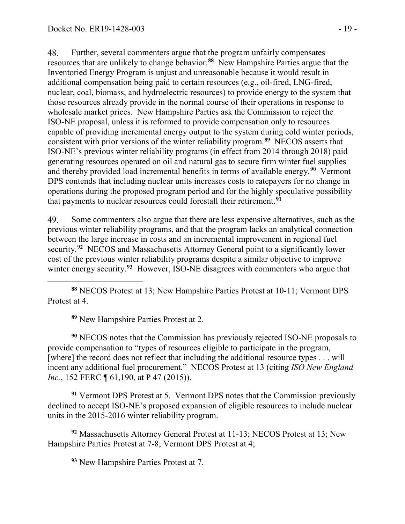48. Further, several commenters argue that the program unfairly compensates resources that are unlikely to change behavior.**[88](#page-18-0)** New Hampshire Parties argue that the Inventoried Energy Program is unjust and unreasonable because it would result in additional compensation being paid to certain resources (e.g., oil-fired, LNG-fired, nuclear, coal, biomass, and hydroelectric resources) to provide energy to the system that those resources already provide in the normal course of their operations in response to wholesale market prices. New Hampshire Parties ask the Commission to reject the ISO-NE proposal, unless it is reformed to provide compensation only to resources capable of providing incremental energy output to the system during cold winter periods, consistent with prior versions of the winter reliability program.**[89](#page-18-1)** NECOS asserts that ISO-NE's previous winter reliability programs (in effect from 2014 through 2018) paid generating resources operated on oil and natural gas to secure firm winter fuel supplies and thereby provided load incremental benefits in terms of available energy.**[90](#page-18-2)** Vermont DPS contends that including nuclear units increases costs to ratepayers for no change in operations during the proposed program period and for the highly speculative possibility that payments to nuclear resources could forestall their retirement.**[91](#page-18-3)**

49. Some commenters also argue that there are less expensive alternatives, such as the previous winter reliability programs, and that the program lacks an analytical connection between the large increase in costs and an incremental improvement in regional fuel security.**[92](#page-18-4)** NECOS and Massachusetts Attorney General point to a significantly lower cost of the previous winter reliability programs despite a similar objective to improve winter energy security.**[93](#page-18-5)** However, ISO-NE disagrees with commenters who argue that

<span id="page-18-0"></span>**<sup>88</sup>** NECOS Protest at 13; New Hampshire Parties Protest at 10-11; Vermont DPS Protest at 4.

**<sup>89</sup>** New Hampshire Parties Protest at 2.

<span id="page-18-2"></span><span id="page-18-1"></span>**<sup>90</sup>** NECOS notes that the Commission has previously rejected ISO-NE proposals to provide compensation to "types of resources eligible to participate in the program, [where] the record does not reflect that including the additional resource types . . . will incent any additional fuel procurement." NECOS Protest at 13 (citing *ISO New England Inc.*, 152 FERC ¶ 61,190, at P 47 (2015)).

<span id="page-18-3"></span>**<sup>91</sup>** Vermont DPS Protest at 5. Vermont DPS notes that the Commission previously declined to accept ISO-NE's proposed expansion of eligible resources to include nuclear units in the 2015-2016 winter reliability program.

<span id="page-18-5"></span><span id="page-18-4"></span>**<sup>92</sup>** Massachusetts Attorney General Protest at 11-13; NECOS Protest at 13; New Hampshire Parties Protest at 7-8; Vermont DPS Protest at 4;

**<sup>93</sup>** New Hampshire Parties Protest at 7.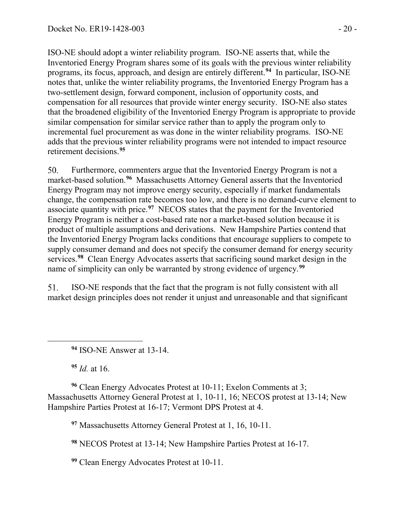ISO-NE should adopt a winter reliability program. ISO-NE asserts that, while the Inventoried Energy Program shares some of its goals with the previous winter reliability programs, its focus, approach, and design are entirely different.**[94](#page-19-0)** In particular, ISO-NE notes that, unlike the winter reliability programs, the Inventoried Energy Program has a two-settlement design, forward component, inclusion of opportunity costs, and compensation for all resources that provide winter energy security. ISO-NE also states that the broadened eligibility of the Inventoried Energy Program is appropriate to provide similar compensation for similar service rather than to apply the program only to incremental fuel procurement as was done in the winter reliability programs. ISO-NE adds that the previous winter reliability programs were not intended to impact resource retirement decisions.**[95](#page-19-1)**

Furthermore, commenters argue that the Inventoried Energy Program is not a 50. market-based solution.**[96](#page-19-2)** Massachusetts Attorney General asserts that the Inventoried Energy Program may not improve energy security, especially if market fundamentals change, the compensation rate becomes too low, and there is no demand-curve element to associate quantity with price.**[97](#page-19-3)** NECOS states that the payment for the Inventoried Energy Program is neither a cost-based rate nor a market-based solution because it is product of multiple assumptions and derivations. New Hampshire Parties contend that the Inventoried Energy Program lacks conditions that encourage suppliers to compete to supply consumer demand and does not specify the consumer demand for energy security services.**[98](#page-19-4)** Clean Energy Advocates asserts that sacrificing sound market design in the name of simplicity can only be warranted by strong evidence of urgency.**[99](#page-19-5)**

51. ISO-NE responds that the fact that the program is not fully consistent with all market design principles does not render it unjust and unreasonable and that significant

**<sup>94</sup>** ISO-NE Answer at 13-14.

**<sup>95</sup>** *Id.* at 16.

<span id="page-19-0"></span> $\overline{a}$ 

<span id="page-19-3"></span><span id="page-19-2"></span><span id="page-19-1"></span>**<sup>96</sup>** Clean Energy Advocates Protest at 10-11; Exelon Comments at 3; Massachusetts Attorney General Protest at 1, 10-11, 16; NECOS protest at 13-14; New Hampshire Parties Protest at 16-17; Vermont DPS Protest at 4.

**<sup>97</sup>** Massachusetts Attorney General Protest at 1, 16, 10-11.

<span id="page-19-4"></span>**<sup>98</sup>** NECOS Protest at 13-14; New Hampshire Parties Protest at 16-17.

<span id="page-19-5"></span>**<sup>99</sup>** Clean Energy Advocates Protest at 10-11.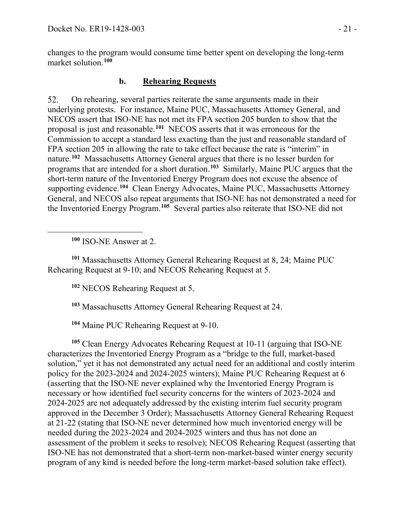changes to the program would consume time better spent on developing the long-term market solution.**[100](#page-20-0)**

### **b. Rehearing Requests**

52. On rehearing, several parties reiterate the same arguments made in their underlying protests. For instance, Maine PUC, Massachusetts Attorney General, and NECOS assert that ISO-NE has not met its FPA section 205 burden to show that the proposal is just and reasonable.**[101](#page-20-1)** NECOS asserts that it was erroneous for the Commission to accept a standard less exacting than the just and reasonable standard of FPA section 205 in allowing the rate to take effect because the rate is "interim" in nature.**[102](#page-20-2)** Massachusetts Attorney General argues that there is no lesser burden for programs that are intended for a short duration.**[103](#page-20-3)** Similarly, Maine PUC argues that the short-term nature of the Inventoried Energy Program does not excuse the absence of supporting evidence.**[104](#page-20-4)** Clean Energy Advocates, Maine PUC, Massachusetts Attorney General, and NECOS also repeat arguments that ISO-NE has not demonstrated a need for the Inventoried Energy Program.**[105](#page-20-5)** Several parties also reiterate that ISO-NE did not

**<sup>100</sup>** ISO-NE Answer at 2.

<span id="page-20-0"></span> $\overline{a}$ 

<span id="page-20-2"></span><span id="page-20-1"></span>**<sup>101</sup>** Massachusetts Attorney General Rehearing Request at 8, 24; Maine PUC Rehearing Request at 9-10; and NECOS Rehearing Request at 5.

**<sup>102</sup>** NECOS Rehearing Request at 5.

**<sup>103</sup>** Massachusetts Attorney General Rehearing Request at 24.

**<sup>104</sup>** Maine PUC Rehearing Request at 9-10.

<span id="page-20-5"></span><span id="page-20-4"></span><span id="page-20-3"></span>**<sup>105</sup>** Clean Energy Advocates Rehearing Request at 10-11 (arguing that ISO-NE characterizes the Inventoried Energy Program as a "bridge to the full, market-based solution," yet it has not demonstrated any actual need for an additional and costly interim policy for the 2023-2024 and 2024-2025 winters); Maine PUC Rehearing Request at 6 (asserting that the ISO-NE never explained why the Inventoried Energy Program is necessary or how identified fuel security concerns for the winters of 2023-2024 and 2024-2025 are not adequately addressed by the existing interim fuel security program approved in the December 3 Order); Massachusetts Attorney General Rehearing Request at 21-22 (stating that ISO-NE never determined how much inventoried energy will be needed during the 2023-2024 and 2024-2025 winters and thus has not done an assessment of the problem it seeks to resolve); NECOS Rehearing Request (asserting that ISO-NE has not demonstrated that a short-term non-market-based winter energy security program of any kind is needed before the long-term market-based solution take effect).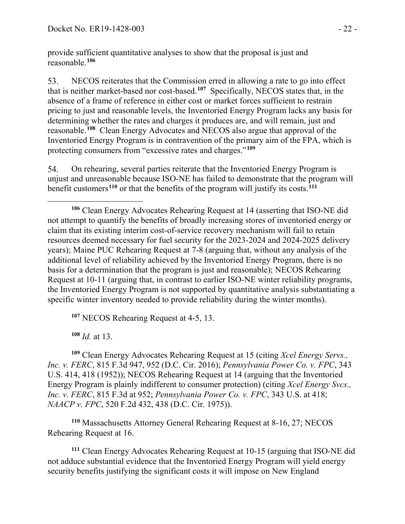provide sufficient quantitative analyses to show that the proposal is just and reasonable.**[106](#page-21-0)**

53. NECOS reiterates that the Commission erred in allowing a rate to go into effect that is neither market-based nor cost-based.**[107](#page-21-1)** Specifically, NECOS states that, in the absence of a frame of reference in either cost or market forces sufficient to restrain pricing to just and reasonable levels, the Inventoried Energy Program lacks any basis for determining whether the rates and charges it produces are, and will remain, just and reasonable.**[108](#page-21-2)** Clean Energy Advocates and NECOS also argue that approval of the Inventoried Energy Program is in contravention of the primary aim of the FPA, which is protecting consumers from "excessive rates and charges."**[109](#page-21-3)**

54. On rehearing, several parties reiterate that the Inventoried Energy Program is unjust and unreasonable because ISO-NE has failed to demonstrate that the program will benefit customers**[110](#page-21-4)** or that the benefits of the program will justify its costs.**[111](#page-21-5)**

**<sup>107</sup>** NECOS Rehearing Request at 4-5, 13.

**<sup>108</sup>** *Id.* at 13.

<span id="page-21-3"></span><span id="page-21-2"></span><span id="page-21-1"></span>**<sup>109</sup>** Clean Energy Advocates Rehearing Request at 15 (citing *Xcel Energy Servs., Inc. v. FERC*, 815 F.3d 947, 952 (D.C. Cir. 2016); *Pennsylvania Power Co. v. FPC*, 343 U.S. 414, 418 (1952)); NECOS Rehearing Request at 14 (arguing that the Inventoried Energy Program is plainly indifferent to consumer protection) (citing *Xcel Energy Svcs., Inc. v. FERC*, 815 F.3d at 952; *Pennsylvania Power Co. v. FPC*, 343 U.S. at 418; *NAACP v. FPC*, 520 F.2d 432, 438 (D.C. Cir. 1975)).

<span id="page-21-4"></span>**<sup>110</sup>** Massachusetts Attorney General Rehearing Request at 8-16, 27; NECOS Rehearing Request at 16.

<span id="page-21-5"></span>**<sup>111</sup>** Clean Energy Advocates Rehearing Request at 10-15 (arguing that ISO-NE did not adduce substantial evidence that the Inventoried Energy Program will yield energy security benefits justifying the significant costs it will impose on New England

<span id="page-21-0"></span> $\overline{a}$ **<sup>106</sup>** Clean Energy Advocates Rehearing Request at 14 (asserting that ISO-NE did not attempt to quantify the benefits of broadly increasing stores of inventoried energy or claim that its existing interim cost-of-service recovery mechanism will fail to retain resources deemed necessary for fuel security for the 2023-2024 and 2024-2025 delivery years); Maine PUC Rehearing Request at 7-8 (arguing that, without any analysis of the additional level of reliability achieved by the Inventoried Energy Program, there is no basis for a determination that the program is just and reasonable); NECOS Rehearing Request at 10-11 (arguing that, in contrast to earlier ISO-NE winter reliability programs, the Inventoried Energy Program is not supported by quantitative analysis substantiating a specific winter inventory needed to provide reliability during the winter months).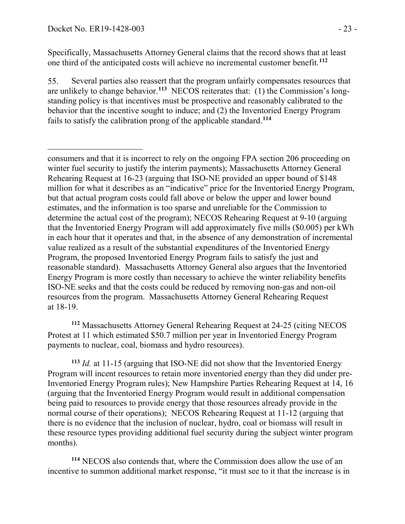Specifically, Massachusetts Attorney General claims that the record shows that at least one third of the anticipated costs will achieve no incremental customer benefit.**[112](#page-22-0)**

Several parties also reassert that the program unfairly compensates resources that 55. are unlikely to change behavior.**[113](#page-22-1)** NECOS reiterates that: (1) the Commission's longstanding policy is that incentives must be prospective and reasonably calibrated to the behavior that the incentive sought to induce; and (2) the Inventoried Energy Program fails to satisfy the calibration prong of the applicable standard.**[114](#page-22-2)**

<span id="page-22-0"></span>**<sup>112</sup>** Massachusetts Attorney General Rehearing Request at 24-25 (citing NECOS Protest at 11 which estimated \$50.7 million per year in Inventoried Energy Program payments to nuclear, coal, biomass and hydro resources).

<span id="page-22-1"></span>**<sup>113</sup>** *Id.* at 11-15 (arguing that ISO-NE did not show that the Inventoried Energy Program will incent resources to retain more inventoried energy than they did under pre-Inventoried Energy Program rules); New Hampshire Parties Rehearing Request at 14, 16 (arguing that the Inventoried Energy Program would result in additional compensation being paid to resources to provide energy that those resources already provide in the normal course of their operations); NECOS Rehearing Request at 11-12 (arguing that there is no evidence that the inclusion of nuclear, hydro, coal or biomass will result in these resource types providing additional fuel security during the subject winter program months).

<span id="page-22-2"></span>**<sup>114</sup>** NECOS also contends that, where the Commission does allow the use of an incentive to summon additional market response, "it must see to it that the increase is in

 $\overline{a}$ consumers and that it is incorrect to rely on the ongoing FPA section 206 proceeding on winter fuel security to justify the interim payments); Massachusetts Attorney General Rehearing Request at 16-23 (arguing that ISO-NE provided an upper bound of \$148 million for what it describes as an "indicative" price for the Inventoried Energy Program, but that actual program costs could fall above or below the upper and lower bound estimates, and the information is too sparse and unreliable for the Commission to determine the actual cost of the program); NECOS Rehearing Request at 9-10 (arguing that the Inventoried Energy Program will add approximately five mills (\$0.005) per kWh in each hour that it operates and that, in the absence of any demonstration of incremental value realized as a result of the substantial expenditures of the Inventoried Energy Program, the proposed Inventoried Energy Program fails to satisfy the just and reasonable standard). Massachusetts Attorney General also argues that the Inventoried Energy Program is more costly than necessary to achieve the winter reliability benefits ISO-NE seeks and that the costs could be reduced by removing non-gas and non-oil resources from the program. Massachusetts Attorney General Rehearing Request at 18-19.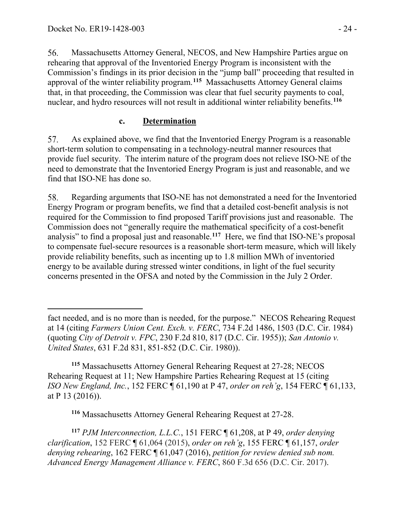56. Massachusetts Attorney General, NECOS, and New Hampshire Parties argue on rehearing that approval of the Inventoried Energy Program is inconsistent with the Commission's findings in its prior decision in the "jump ball" proceeding that resulted in approval of the winter reliability program.**[115](#page-23-0)** Massachusetts Attorney General claims that, in that proceeding, the Commission was clear that fuel security payments to coal, nuclear, and hydro resources will not result in additional winter reliability benefits.**[116](#page-23-1)**

#### **c. Determination**

57. As explained above, we find that the Inventoried Energy Program is a reasonable short-term solution to compensating in a technology-neutral manner resources that provide fuel security. The interim nature of the program does not relieve ISO-NE of the need to demonstrate that the Inventoried Energy Program is just and reasonable, and we find that ISO-NE has done so.

58. Regarding arguments that ISO-NE has not demonstrated a need for the Inventoried Energy Program or program benefits, we find that a detailed cost-benefit analysis is not required for the Commission to find proposed Tariff provisions just and reasonable. The Commission does not "generally require the mathematical specificity of a cost-benefit analysis" to find a proposal just and reasonable.**[117](#page-23-2)** Here, we find that ISO-NE's proposal to compensate fuel-secure resources is a reasonable short-term measure, which will likely provide reliability benefits, such as incenting up to 1.8 million MWh of inventoried energy to be available during stressed winter conditions, in light of the fuel security concerns presented in the OFSA and noted by the Commission in the July 2 Order.

<span id="page-23-0"></span>**<sup>115</sup>** Massachusetts Attorney General Rehearing Request at 27-28; NECOS Rehearing Request at 11; New Hampshire Parties Rehearing Request at 15 (citing *ISO New England, Inc.*, 152 FERC ¶ 61,190 at P 47, *order on reh'g*, 154 FERC ¶ 61,133, at P 13 (2016)).

**<sup>116</sup>** Massachusetts Attorney General Rehearing Request at 27-28.

<span id="page-23-2"></span><span id="page-23-1"></span>**<sup>117</sup>** *PJM Interconnection, L.L.C.*, 151 FERC ¶ 61,208, at P 49, *order denying clarification*, 152 FERC ¶ 61,064 (2015), *order on reh'g*, 155 FERC ¶ 61,157, *order denying rehearing*, 162 FERC ¶ 61,047 (2016), *petition for review denied sub nom. Advanced Energy Management Alliance v. FERC*, 860 F.3d 656 (D.C. Cir. 2017).

 $\overline{a}$ fact needed, and is no more than is needed, for the purpose." NECOS Rehearing Request at 14 (citing *Farmers Union Cent. Exch. v. FERC*, 734 F.2d 1486, 1503 (D.C. Cir. 1984) (quoting *City of Detroit v. FPC*, 230 F.2d 810, 817 (D.C. Cir. 1955)); *San Antonio v. United States*, 631 F.2d 831, 851-852 (D.C. Cir. 1980)).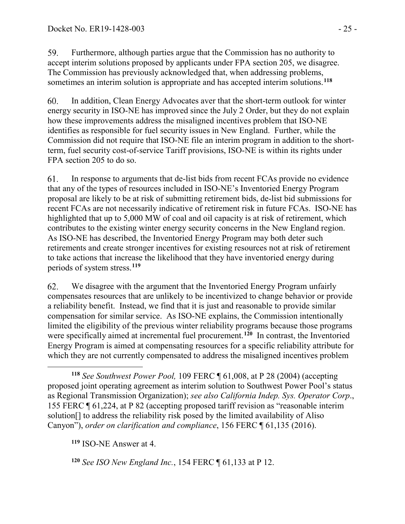59. Furthermore, although parties argue that the Commission has no authority to accept interim solutions proposed by applicants under FPA section 205, we disagree. The Commission has previously acknowledged that, when addressing problems, sometimes an interim solution is appropriate and has accepted interim solutions.**[118](#page-24-0)**

60. In addition, Clean Energy Advocates aver that the short-term outlook for winter energy security in ISO-NE has improved since the July 2 Order, but they do not explain how these improvements address the misaligned incentives problem that ISO-NE identifies as responsible for fuel security issues in New England. Further, while the Commission did not require that ISO-NE file an interim program in addition to the shortterm, fuel security cost-of-service Tariff provisions, ISO-NE is within its rights under FPA section 205 to do so.

61. In response to arguments that de-list bids from recent FCAs provide no evidence that any of the types of resources included in ISO-NE's Inventoried Energy Program proposal are likely to be at risk of submitting retirement bids, de-list bid submissions for recent FCAs are not necessarily indicative of retirement risk in future FCAs. ISO-NE has highlighted that up to 5,000 MW of coal and oil capacity is at risk of retirement, which contributes to the existing winter energy security concerns in the New England region. As ISO-NE has described, the Inventoried Energy Program may both deter such retirements and create stronger incentives for existing resources not at risk of retirement to take actions that increase the likelihood that they have inventoried energy during periods of system stress.**[119](#page-24-1)**

62. We disagree with the argument that the Inventoried Energy Program unfairly compensates resources that are unlikely to be incentivized to change behavior or provide a reliability benefit. Instead, we find that it is just and reasonable to provide similar compensation for similar service. As ISO-NE explains, the Commission intentionally limited the eligibility of the previous winter reliability programs because those programs were specifically aimed at incremental fuel procurement.<sup>[120](#page-24-2)</sup> In contrast, the Inventoried Energy Program is aimed at compensating resources for a specific reliability attribute for which they are not currently compensated to address the misaligned incentives problem

<span id="page-24-1"></span>**<sup>119</sup>** ISO-NE Answer at 4.

<span id="page-24-2"></span>**<sup>120</sup>** *See ISO New England Inc.*, 154 FERC ¶ 61,133 at P 12.

<span id="page-24-0"></span> $\overline{a}$ **<sup>118</sup>** *See Southwest Power Pool,* 109 FERC ¶ 61,008, at P 28 (2004) (accepting proposed joint operating agreement as interim solution to Southwest Power Pool's status as Regional Transmission Organization); *see also California Indep. Sys. Operator Corp*., 155 FERC ¶ 61,224, at P 82 (accepting proposed tariff revision as "reasonable interim solution[] to address the reliability risk posed by the limited availability of Aliso Canyon"), *order on clarification and compliance*, 156 FERC ¶ 61,135 (2016).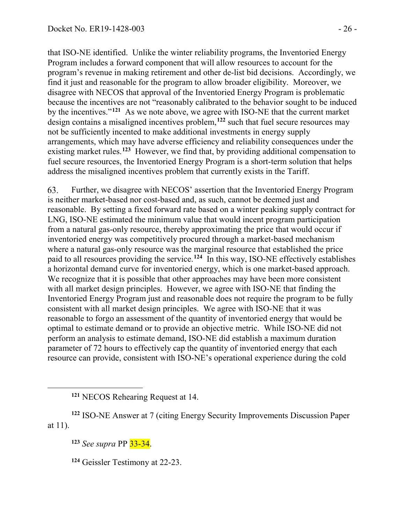that ISO-NE identified. Unlike the winter reliability programs, the Inventoried Energy Program includes a forward component that will allow resources to account for the program's revenue in making retirement and other de-list bid decisions. Accordingly, we find it just and reasonable for the program to allow broader eligibility. Moreover, we disagree with NECOS that approval of the Inventoried Energy Program is problematic because the incentives are not "reasonably calibrated to the behavior sought to be induced by the incentives."**[121](#page-25-0)** As we note above, we agree with ISO-NE that the current market design contains a misaligned incentives problem,**[122](#page-25-1)** such that fuel secure resources may not be sufficiently incented to make additional investments in energy supply arrangements, which may have adverse efficiency and reliability consequences under the existing market rules.**[123](#page-25-2)** However, we find that, by providing additional compensation to fuel secure resources, the Inventoried Energy Program is a short-term solution that helps address the misaligned incentives problem that currently exists in the Tariff.

Further, we disagree with NECOS' assertion that the Inventoried Energy Program 63. is neither market-based nor cost-based and, as such, cannot be deemed just and reasonable. By setting a fixed forward rate based on a winter peaking supply contract for LNG, ISO-NE estimated the minimum value that would incent program participation from a natural gas-only resource, thereby approximating the price that would occur if inventoried energy was competitively procured through a market-based mechanism where a natural gas-only resource was the marginal resource that established the price paid to all resources providing the service.**[124](#page-25-3)** In this way, ISO-NE effectively establishes a horizontal demand curve for inventoried energy, which is one market-based approach. We recognize that it is possible that other approaches may have been more consistent with all market design principles. However, we agree with ISO-NE that finding the Inventoried Energy Program just and reasonable does not require the program to be fully consistent with all market design principles. We agree with ISO-NE that it was reasonable to forgo an assessment of the quantity of inventoried energy that would be optimal to estimate demand or to provide an objective metric. While ISO-NE did not perform an analysis to estimate demand, ISO-NE did establish a maximum duration parameter of 72 hours to effectively cap the quantity of inventoried energy that each resource can provide, consistent with ISO-NE's operational experience during the cold

**<sup>123</sup>** *See supra* PP 33-34.

<span id="page-25-0"></span> $\overline{a}$ 

**<sup>124</sup>** Geissler Testimony at 22-23.

**<sup>121</sup>** NECOS Rehearing Request at 14.

<span id="page-25-3"></span><span id="page-25-2"></span><span id="page-25-1"></span>**<sup>122</sup>** ISO-NE Answer at 7 (citing Energy Security Improvements Discussion Paper at 11).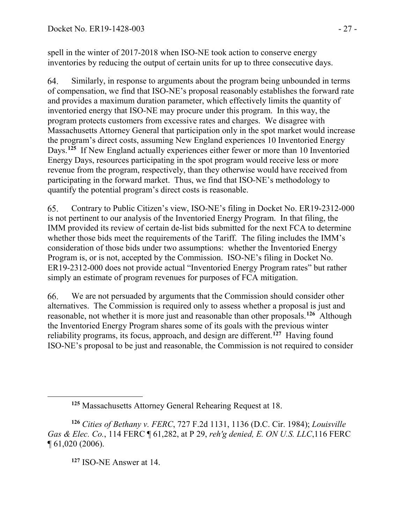spell in the winter of 2017-2018 when ISO-NE took action to conserve energy inventories by reducing the output of certain units for up to three consecutive days.

64. Similarly, in response to arguments about the program being unbounded in terms of compensation, we find that ISO-NE's proposal reasonably establishes the forward rate and provides a maximum duration parameter, which effectively limits the quantity of inventoried energy that ISO-NE may procure under this program. In this way, the program protects customers from excessive rates and charges. We disagree with Massachusetts Attorney General that participation only in the spot market would increase the program's direct costs, assuming New England experiences 10 Inventoried Energy Days.**[125](#page-26-0)** If New England actually experiences either fewer or more than 10 Inventoried Energy Days, resources participating in the spot program would receive less or more revenue from the program, respectively, than they otherwise would have received from participating in the forward market. Thus, we find that ISO-NE's methodology to quantify the potential program's direct costs is reasonable.

65. Contrary to Public Citizen's view, ISO-NE's filing in Docket No. ER19-2312-000 is not pertinent to our analysis of the Inventoried Energy Program. In that filing, the IMM provided its review of certain de-list bids submitted for the next FCA to determine whether those bids meet the requirements of the Tariff. The filing includes the IMM's consideration of those bids under two assumptions: whether the Inventoried Energy Program is, or is not, accepted by the Commission. ISO-NE's filing in Docket No. ER19-2312-000 does not provide actual "Inventoried Energy Program rates" but rather simply an estimate of program revenues for purposes of FCA mitigation.

66. We are not persuaded by arguments that the Commission should consider other alternatives. The Commission is required only to assess whether a proposal is just and reasonable, not whether it is more just and reasonable than other proposals.**[126](#page-26-1)** Although the Inventoried Energy Program shares some of its goals with the previous winter reliability programs, its focus, approach, and design are different.**[127](#page-26-2)** Having found ISO-NE's proposal to be just and reasonable, the Commission is not required to consider

**<sup>127</sup>** ISO-NE Answer at 14.

<span id="page-26-0"></span> $\overline{a}$ 

**<sup>125</sup>** Massachusetts Attorney General Rehearing Request at 18.

<span id="page-26-2"></span><span id="page-26-1"></span>**<sup>126</sup>** *Cities of Bethany v. FERC*, 727 F.2d 1131, 1136 (D.C. Cir. 1984); *Louisville Gas & Elec. Co.*, 114 FERC ¶ 61,282, at P 29, *reh'g denied, E. ON U.S. LLC*,116 FERC ¶ 61,020 (2006).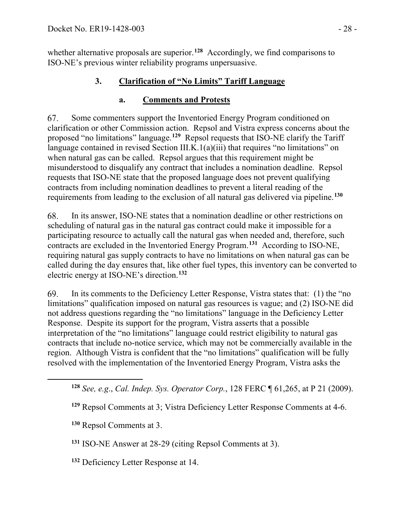whether alternative proposals are superior.**[128](#page-27-0)** Accordingly, we find comparisons to ISO-NE's previous winter reliability programs unpersuasive.

### **3. Clarification of "No Limits" Tariff Language**

#### **a. Comments and Protests**

67. Some commenters support the Inventoried Energy Program conditioned on clarification or other Commission action. Repsol and Vistra express concerns about the proposed "no limitations" language.**[129](#page-27-1)** Repsol requests that ISO-NE clarify the Tariff language contained in revised Section III.K.1(a)(iii) that requires "no limitations" on when natural gas can be called. Repsol argues that this requirement might be misunderstood to disqualify any contract that includes a nomination deadline. Repsol requests that ISO-NE state that the proposed language does not prevent qualifying contracts from including nomination deadlines to prevent a literal reading of the requirements from leading to the exclusion of all natural gas delivered via pipeline.**[130](#page-27-2)**

68. In its answer, ISO-NE states that a nomination deadline or other restrictions on scheduling of natural gas in the natural gas contract could make it impossible for a participating resource to actually call the natural gas when needed and, therefore, such contracts are excluded in the Inventoried Energy Program.**[131](#page-27-3)** According to ISO-NE, requiring natural gas supply contracts to have no limitations on when natural gas can be called during the day ensures that, like other fuel types, this inventory can be converted to electric energy at ISO-NE's direction.**[132](#page-27-4)**

69. In its comments to the Deficiency Letter Response, Vistra states that: (1) the "no limitations" qualification imposed on natural gas resources is vague; and (2) ISO-NE did not address questions regarding the "no limitations" language in the Deficiency Letter Response. Despite its support for the program, Vistra asserts that a possible interpretation of the "no limitations" language could restrict eligibility to natural gas contracts that include no-notice service, which may not be commercially available in the region. Although Vistra is confident that the "no limitations" qualification will be fully resolved with the implementation of the Inventoried Energy Program, Vistra asks the

**<sup>130</sup>** Repsol Comments at 3.

<span id="page-27-2"></span><span id="page-27-1"></span><span id="page-27-0"></span> $\overline{a}$ 

<span id="page-27-3"></span>**<sup>131</sup>** ISO-NE Answer at 28-29 (citing Repsol Comments at 3).

<span id="page-27-4"></span>**<sup>132</sup>** Deficiency Letter Response at 14.

**<sup>128</sup>** *See, e.g*., *Cal. Indep. Sys. Operator Corp.*, 128 FERC ¶ 61,265, at P 21 (2009).

**<sup>129</sup>** Repsol Comments at 3; Vistra Deficiency Letter Response Comments at 4-6.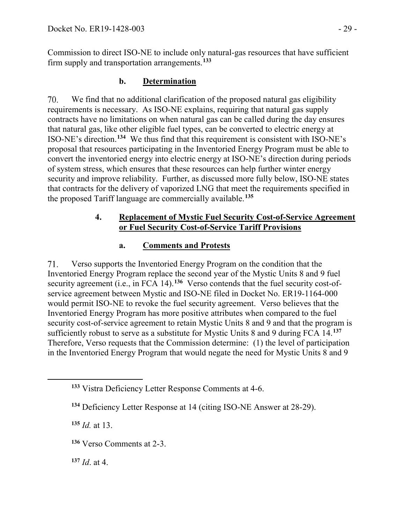Commission to direct ISO-NE to include only natural-gas resources that have sufficient firm supply and transportation arrangements.**[133](#page-28-0)**

## **b. Determination**

We find that no additional clarification of the proposed natural gas eligibility 70. requirements is necessary. As ISO-NE explains, requiring that natural gas supply contracts have no limitations on when natural gas can be called during the day ensures that natural gas, like other eligible fuel types, can be converted to electric energy at ISO-NE's direction.**[134](#page-28-1)** We thus find that this requirement is consistent with ISO-NE's proposal that resources participating in the Inventoried Energy Program must be able to convert the inventoried energy into electric energy at ISO-NE's direction during periods of system stress, which ensures that these resources can help further winter energy security and improve reliability. Further, as discussed more fully below, ISO-NE states that contracts for the delivery of vaporized LNG that meet the requirements specified in the proposed Tariff language are commercially available.**[135](#page-28-2)**

#### **4. Replacement of Mystic Fuel Security Cost-of-Service Agreement or Fuel Security Cost-of-Service Tariff Provisions**

### **a. Comments and Protests**

71. Verso supports the Inventoried Energy Program on the condition that the Inventoried Energy Program replace the second year of the Mystic Units 8 and 9 fuel security agreement (i.e., in FCA 14).<sup>[136](#page-28-3)</sup> Verso contends that the fuel security cost-ofservice agreement between Mystic and ISO-NE filed in Docket No. ER19-1164-000 would permit ISO-NE to revoke the fuel security agreement. Verso believes that the Inventoried Energy Program has more positive attributes when compared to the fuel security cost-of-service agreement to retain Mystic Units 8 and 9 and that the program is sufficiently robust to serve as a substitute for Mystic Units 8 and 9 during FCA 14.**[137](#page-28-4)** Therefore, Verso requests that the Commission determine: (1) the level of participation in the Inventoried Energy Program that would negate the need for Mystic Units 8 and 9

**<sup>135</sup>** *Id.* at 13.

<span id="page-28-2"></span><span id="page-28-1"></span><span id="page-28-0"></span> $\overline{a}$ 

<span id="page-28-3"></span>**<sup>136</sup>** Verso Comments at 2-3.

<span id="page-28-4"></span>**<sup>137</sup>** *Id*. at 4.

**<sup>133</sup>** Vistra Deficiency Letter Response Comments at 4-6.

**<sup>134</sup>** Deficiency Letter Response at 14 (citing ISO-NE Answer at 28-29).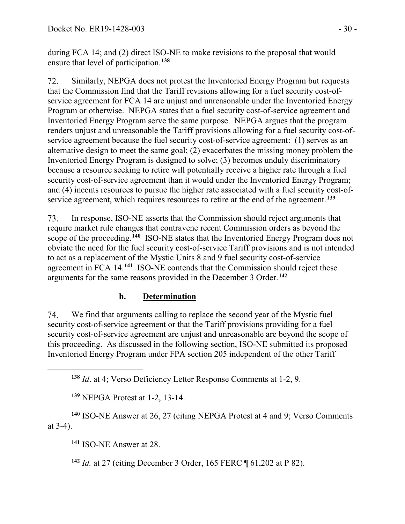during FCA 14; and (2) direct ISO-NE to make revisions to the proposal that would ensure that level of participation.**[138](#page-29-0)**

72. Similarly, NEPGA does not protest the Inventoried Energy Program but requests that the Commission find that the Tariff revisions allowing for a fuel security cost-ofservice agreement for FCA 14 are unjust and unreasonable under the Inventoried Energy Program or otherwise. NEPGA states that a fuel security cost-of-service agreement and Inventoried Energy Program serve the same purpose. NEPGA argues that the program renders unjust and unreasonable the Tariff provisions allowing for a fuel security cost-ofservice agreement because the fuel security cost-of-service agreement: (1) serves as an alternative design to meet the same goal; (2) exacerbates the missing money problem the Inventoried Energy Program is designed to solve; (3) becomes unduly discriminatory because a resource seeking to retire will potentially receive a higher rate through a fuel security cost-of-service agreement than it would under the Inventoried Energy Program; and (4) incents resources to pursue the higher rate associated with a fuel security cost-ofservice agreement, which requires resources to retire at the end of the agreement.**[139](#page-29-1)**

73. In response, ISO-NE asserts that the Commission should reject arguments that require market rule changes that contravene recent Commission orders as beyond the scope of the proceeding.**[140](#page-29-2)** ISO-NE states that the Inventoried Energy Program does not obviate the need for the fuel security cost-of-service Tariff provisions and is not intended to act as a replacement of the Mystic Units 8 and 9 fuel security cost-of-service agreement in FCA 14.**[141](#page-29-3)** ISO-NE contends that the Commission should reject these arguments for the same reasons provided in the December 3 Order.**[142](#page-29-4)**

### **b. Determination**

74. We find that arguments calling to replace the second year of the Mystic fuel security cost-of-service agreement or that the Tariff provisions providing for a fuel security cost-of-service agreement are unjust and unreasonable are beyond the scope of this proceeding. As discussed in the following section, ISO-NE submitted its proposed Inventoried Energy Program under FPA section 205 independent of the other Tariff

**<sup>139</sup>** NEPGA Protest at 1-2, 13-14.

<span id="page-29-4"></span><span id="page-29-3"></span><span id="page-29-2"></span><span id="page-29-1"></span>**<sup>140</sup>** ISO-NE Answer at 26, 27 (citing NEPGA Protest at 4 and 9; Verso Comments at 3-4).

**<sup>141</sup>** ISO-NE Answer at 28.

<span id="page-29-0"></span> $\overline{a}$ 

**<sup>142</sup>** *Id.* at 27 (citing December 3 Order, 165 FERC ¶ 61,202 at P 82).

**<sup>138</sup>** *Id*. at 4; Verso Deficiency Letter Response Comments at 1-2, 9.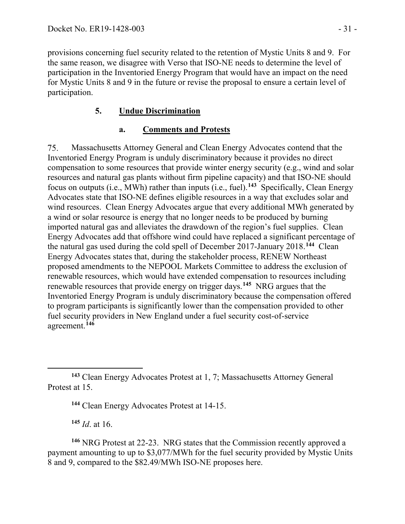provisions concerning fuel security related to the retention of Mystic Units 8 and 9. For the same reason, we disagree with Verso that ISO-NE needs to determine the level of participation in the Inventoried Energy Program that would have an impact on the need for Mystic Units 8 and 9 in the future or revise the proposal to ensure a certain level of participation.

### **5. Undue Discrimination**

#### **a. Comments and Protests**

75. Massachusetts Attorney General and Clean Energy Advocates contend that the Inventoried Energy Program is unduly discriminatory because it provides no direct compensation to some resources that provide winter energy security (e.g., wind and solar resources and natural gas plants without firm pipeline capacity) and that ISO-NE should focus on outputs (i.e., MWh) rather than inputs (i.e., fuel).**[143](#page-30-0)** Specifically, Clean Energy Advocates state that ISO-NE defines eligible resources in a way that excludes solar and wind resources. Clean Energy Advocates argue that every additional MWh generated by a wind or solar resource is energy that no longer needs to be produced by burning imported natural gas and alleviates the drawdown of the region's fuel supplies. Clean Energy Advocates add that offshore wind could have replaced a significant percentage of the natural gas used during the cold spell of December 2017-January 2018.**[144](#page-30-1)** Clean Energy Advocates states that, during the stakeholder process, RENEW Northeast proposed amendments to the NEPOOL Markets Committee to address the exclusion of renewable resources, which would have extended compensation to resources including renewable resources that provide energy on trigger days.**[145](#page-30-2)** NRG argues that the Inventoried Energy Program is unduly discriminatory because the compensation offered to program participants is significantly lower than the compensation provided to other fuel security providers in New England under a fuel security cost-of-service agreement.**[146](#page-30-3)**

**<sup>145</sup>** *Id*. at 16.

<span id="page-30-3"></span><span id="page-30-2"></span>**<sup>146</sup>** NRG Protest at 22-23. NRG states that the Commission recently approved a payment amounting to up to \$3,077/MWh for the fuel security provided by Mystic Units 8 and 9, compared to the \$82.49/MWh ISO-NE proposes here.

<span id="page-30-1"></span><span id="page-30-0"></span> $\overline{a}$ **<sup>143</sup>** Clean Energy Advocates Protest at 1, 7; Massachusetts Attorney General Protest at 15.

**<sup>144</sup>** Clean Energy Advocates Protest at 14-15.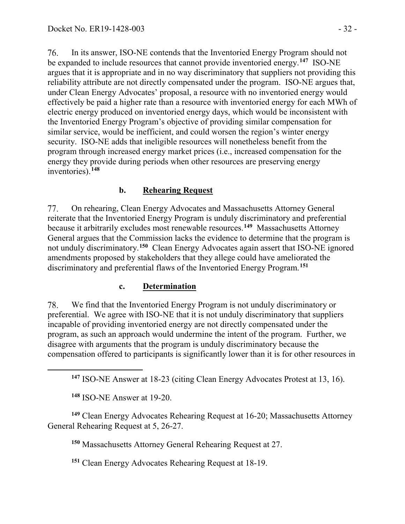76. In its answer, ISO-NE contends that the Inventoried Energy Program should not be expanded to include resources that cannot provide inventoried energy.**[147](#page-31-0)** ISO-NE argues that it is appropriate and in no way discriminatory that suppliers not providing this reliability attribute are not directly compensated under the program. ISO-NE argues that, under Clean Energy Advocates' proposal, a resource with no inventoried energy would effectively be paid a higher rate than a resource with inventoried energy for each MWh of electric energy produced on inventoried energy days, which would be inconsistent with the Inventoried Energy Program's objective of providing similar compensation for similar service, would be inefficient, and could worsen the region's winter energy security. ISO-NE adds that ineligible resources will nonetheless benefit from the program through increased energy market prices (i.e., increased compensation for the energy they provide during periods when other resources are preserving energy inventories).**[148](#page-31-1)**

### **b. Rehearing Request**

77. On rehearing, Clean Energy Advocates and Massachusetts Attorney General reiterate that the Inventoried Energy Program is unduly discriminatory and preferential because it arbitrarily excludes most renewable resources.**[149](#page-31-2)** Massachusetts Attorney General argues that the Commission lacks the evidence to determine that the program is not unduly discriminatory.**[150](#page-31-3)** Clean Energy Advocates again assert that ISO-NE ignored amendments proposed by stakeholders that they allege could have ameliorated the discriminatory and preferential flaws of the Inventoried Energy Program.**[151](#page-31-4)**

#### **c. Determination**

78. We find that the Inventoried Energy Program is not unduly discriminatory or preferential. We agree with ISO-NE that it is not unduly discriminatory that suppliers incapable of providing inventoried energy are not directly compensated under the program, as such an approach would undermine the intent of the program. Further, we disagree with arguments that the program is unduly discriminatory because the compensation offered to participants is significantly lower than it is for other resources in

**<sup>147</sup>** ISO-NE Answer at 18-23 (citing Clean Energy Advocates Protest at 13, 16).

**<sup>148</sup>** ISO-NE Answer at 19-20.

<span id="page-31-0"></span> $\overline{a}$ 

<span id="page-31-4"></span><span id="page-31-3"></span><span id="page-31-2"></span><span id="page-31-1"></span>**<sup>149</sup>** Clean Energy Advocates Rehearing Request at 16-20; Massachusetts Attorney General Rehearing Request at 5, 26-27.

**<sup>150</sup>** Massachusetts Attorney General Rehearing Request at 27.

**<sup>151</sup>** Clean Energy Advocates Rehearing Request at 18-19.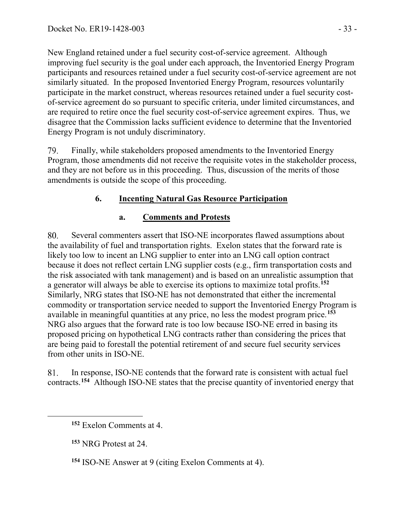New England retained under a fuel security cost-of-service agreement. Although improving fuel security is the goal under each approach, the Inventoried Energy Program participants and resources retained under a fuel security cost-of-service agreement are not similarly situated. In the proposed Inventoried Energy Program, resources voluntarily participate in the market construct, whereas resources retained under a fuel security costof-service agreement do so pursuant to specific criteria, under limited circumstances, and are required to retire once the fuel security cost-of-service agreement expires. Thus, we disagree that the Commission lacks sufficient evidence to determine that the Inventoried Energy Program is not unduly discriminatory.

Finally, while stakeholders proposed amendments to the Inventoried Energy 79. Program, those amendments did not receive the requisite votes in the stakeholder process, and they are not before us in this proceeding. Thus, discussion of the merits of those amendments is outside the scope of this proceeding.

## **6. Incenting Natural Gas Resource Participation**

### **a. Comments and Protests**

80. Several commenters assert that ISO-NE incorporates flawed assumptions about the availability of fuel and transportation rights. Exelon states that the forward rate is likely too low to incent an LNG supplier to enter into an LNG call option contract because it does not reflect certain LNG supplier costs (e.g., firm transportation costs and the risk associated with tank management) and is based on an unrealistic assumption that a generator will always be able to exercise its options to maximize total profits.**[152](#page-32-0)** Similarly, NRG states that ISO-NE has not demonstrated that either the incremental commodity or transportation service needed to support the Inventoried Energy Program is available in meaningful quantities at any price, no less the modest program price.**[153](#page-32-1)** NRG also argues that the forward rate is too low because ISO-NE erred in basing its proposed pricing on hypothetical LNG contracts rather than considering the prices that are being paid to forestall the potential retirement of and secure fuel security services from other units in ISO-NE.

In response, ISO-NE contends that the forward rate is consistent with actual fuel 81. contracts.**[154](#page-32-2)** Although ISO-NE states that the precise quantity of inventoried energy that

**<sup>153</sup>** NRG Protest at 24.

<span id="page-32-2"></span><span id="page-32-1"></span><span id="page-32-0"></span> $\overline{a}$ 

**<sup>154</sup>** ISO-NE Answer at 9 (citing Exelon Comments at 4).

**<sup>152</sup>** Exelon Comments at 4.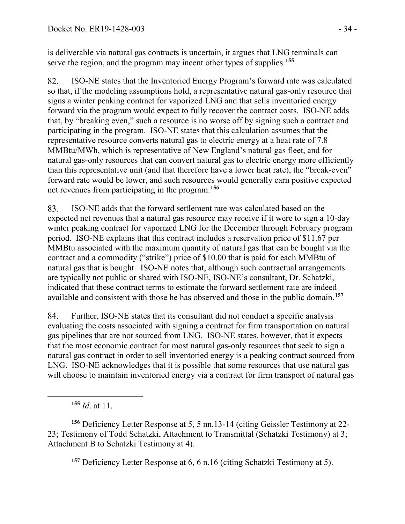is deliverable via natural gas contracts is uncertain, it argues that LNG terminals can serve the region, and the program may incent other types of supplies.**[155](#page-33-0)**

82. ISO-NE states that the Inventoried Energy Program's forward rate was calculated so that, if the modeling assumptions hold, a representative natural gas-only resource that signs a winter peaking contract for vaporized LNG and that sells inventoried energy forward via the program would expect to fully recover the contract costs. ISO-NE adds that, by "breaking even," such a resource is no worse off by signing such a contract and participating in the program. ISO-NE states that this calculation assumes that the representative resource converts natural gas to electric energy at a heat rate of 7.8 MMBtu/MWh, which is representative of New England's natural gas fleet, and for natural gas-only resources that can convert natural gas to electric energy more efficiently than this representative unit (and that therefore have a lower heat rate), the "break-even" forward rate would be lower, and such resources would generally earn positive expected net revenues from participating in the program.**[156](#page-33-1)**

83. ISO-NE adds that the forward settlement rate was calculated based on the expected net revenues that a natural gas resource may receive if it were to sign a 10-day winter peaking contract for vaporized LNG for the December through February program period. ISO-NE explains that this contract includes a reservation price of \$11.67 per MMBtu associated with the maximum quantity of natural gas that can be bought via the contract and a commodity ("strike") price of \$10.00 that is paid for each MMBtu of natural gas that is bought. ISO-NE notes that, although such contractual arrangements are typically not public or shared with ISO-NE, ISO-NE's consultant, Dr. Schatzki, indicated that these contract terms to estimate the forward settlement rate are indeed available and consistent with those he has observed and those in the public domain.**[157](#page-33-2)**

84. Further, ISO-NE states that its consultant did not conduct a specific analysis evaluating the costs associated with signing a contract for firm transportation on natural gas pipelines that are not sourced from LNG. ISO-NE states, however, that it expects that the most economic contract for most natural gas-only resources that seek to sign a natural gas contract in order to sell inventoried energy is a peaking contract sourced from LNG. ISO-NE acknowledges that it is possible that some resources that use natural gas will choose to maintain inventoried energy via a contract for firm transport of natural gas

<span id="page-33-0"></span> $\overline{a}$ 

**<sup>157</sup>** Deficiency Letter Response at 6, 6 n.16 (citing Schatzki Testimony at 5).

**<sup>155</sup>** *Id*. at 11.

<span id="page-33-2"></span><span id="page-33-1"></span>**<sup>156</sup>** Deficiency Letter Response at 5, 5 nn.13-14 (citing Geissler Testimony at 22- 23; Testimony of Todd Schatzki, Attachment to Transmittal (Schatzki Testimony) at 3; Attachment B to Schatzki Testimony at 4).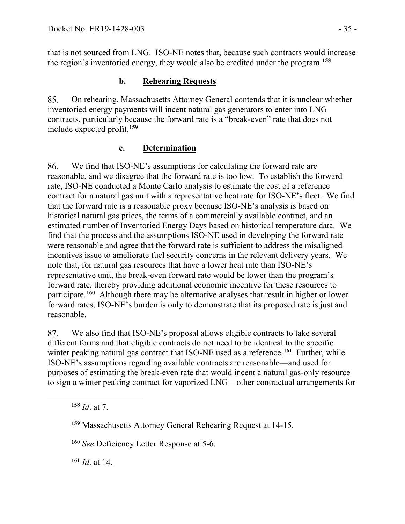that is not sourced from LNG. ISO-NE notes that, because such contracts would increase the region's inventoried energy, they would also be credited under the program.**[158](#page-34-0)**

### **b. Rehearing Requests**

85. On rehearing, Massachusetts Attorney General contends that it is unclear whether inventoried energy payments will incent natural gas generators to enter into LNG contracts, particularly because the forward rate is a "break-even" rate that does not include expected profit.**[159](#page-34-1)**

#### **c. Determination**

86. We find that ISO-NE's assumptions for calculating the forward rate are reasonable, and we disagree that the forward rate is too low. To establish the forward rate, ISO-NE conducted a Monte Carlo analysis to estimate the cost of a reference contract for a natural gas unit with a representative heat rate for ISO-NE's fleet. We find that the forward rate is a reasonable proxy because ISO-NE's analysis is based on historical natural gas prices, the terms of a commercially available contract, and an estimated number of Inventoried Energy Days based on historical temperature data. We find that the process and the assumptions ISO-NE used in developing the forward rate were reasonable and agree that the forward rate is sufficient to address the misaligned incentives issue to ameliorate fuel security concerns in the relevant delivery years. We note that, for natural gas resources that have a lower heat rate than ISO-NE's representative unit, the break-even forward rate would be lower than the program's forward rate, thereby providing additional economic incentive for these resources to participate.**[160](#page-34-2)** Although there may be alternative analyses that result in higher or lower forward rates, ISO-NE's burden is only to demonstrate that its proposed rate is just and reasonable.

87. We also find that ISO-NE's proposal allows eligible contracts to take several different forms and that eligible contracts do not need to be identical to the specific winter peaking natural gas contract that ISO-NE used as a reference.<sup>[161](#page-34-3)</sup> Further, while ISO-NE's assumptions regarding available contracts are reasonable—and used for purposes of estimating the break-even rate that would incent a natural gas-only resource to sign a winter peaking contract for vaporized LNG—other contractual arrangements for

<span id="page-34-2"></span><span id="page-34-1"></span><span id="page-34-0"></span> $\overline{a}$ 

<span id="page-34-3"></span>**<sup>161</sup>** *Id*. at 14.

**<sup>158</sup>** *Id*. at 7.

**<sup>159</sup>** Massachusetts Attorney General Rehearing Request at 14-15.

**<sup>160</sup>** *See* Deficiency Letter Response at 5-6.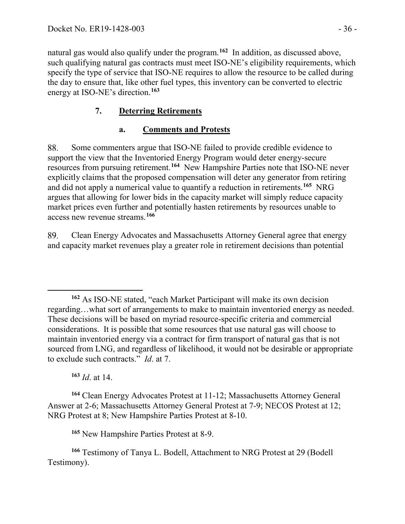natural gas would also qualify under the program. **[162](#page-35-0)** In addition, as discussed above, such qualifying natural gas contracts must meet ISO-NE's eligibility requirements, which specify the type of service that ISO-NE requires to allow the resource to be called during the day to ensure that, like other fuel types, this inventory can be converted to electric energy at ISO-NE's direction.**[163](#page-35-1)**

## **7. Deterring Retirements**

## **a. Comments and Protests**

88. Some commenters argue that ISO-NE failed to provide credible evidence to support the view that the Inventoried Energy Program would deter energy-secure resources from pursuing retirement.**[164](#page-35-2)** New Hampshire Parties note that ISO-NE never explicitly claims that the proposed compensation will deter any generator from retiring and did not apply a numerical value to quantify a reduction in retirements.**[165](#page-35-3)** NRG argues that allowing for lower bids in the capacity market will simply reduce capacity market prices even further and potentially hasten retirements by resources unable to access new revenue streams.**[166](#page-35-4)**

89. Clean Energy Advocates and Massachusetts Attorney General agree that energy and capacity market revenues play a greater role in retirement decisions than potential

**<sup>163</sup>** *Id*. at 14.

<span id="page-35-2"></span><span id="page-35-1"></span>**<sup>164</sup>** Clean Energy Advocates Protest at 11-12; Massachusetts Attorney General Answer at 2-6; Massachusetts Attorney General Protest at 7-9; NECOS Protest at 12; NRG Protest at 8; New Hampshire Parties Protest at 8-10.

**<sup>165</sup>** New Hampshire Parties Protest at 8-9.

<span id="page-35-4"></span><span id="page-35-3"></span>**<sup>166</sup>** Testimony of Tanya L. Bodell, Attachment to NRG Protest at 29 (Bodell Testimony).

<span id="page-35-0"></span> $\overline{a}$ **<sup>162</sup>** As ISO-NE stated, "each Market Participant will make its own decision regarding…what sort of arrangements to make to maintain inventoried energy as needed. These decisions will be based on myriad resource-specific criteria and commercial considerations. It is possible that some resources that use natural gas will choose to maintain inventoried energy via a contract for firm transport of natural gas that is not sourced from LNG, and regardless of likelihood, it would not be desirable or appropriate to exclude such contracts." *Id*. at 7.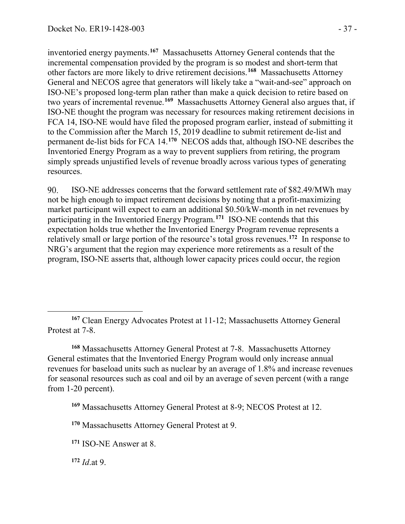inventoried energy payments.**[167](#page-36-0)** Massachusetts Attorney General contends that the incremental compensation provided by the program is so modest and short-term that other factors are more likely to drive retirement decisions.**[168](#page-36-1)** Massachusetts Attorney General and NECOS agree that generators will likely take a "wait-and-see" approach on ISO-NE's proposed long-term plan rather than make a quick decision to retire based on two years of incremental revenue.**[169](#page-36-2)** Massachusetts Attorney General also argues that, if ISO-NE thought the program was necessary for resources making retirement decisions in FCA 14, ISO-NE would have filed the proposed program earlier, instead of submitting it to the Commission after the March 15, 2019 deadline to submit retirement de-list and permanent de-list bids for FCA 14.**[170](#page-36-3)** NECOS adds that, although ISO-NE describes the Inventoried Energy Program as a way to prevent suppliers from retiring, the program simply spreads unjustified levels of revenue broadly across various types of generating resources.

90. ISO-NE addresses concerns that the forward settlement rate of \$82.49/MWh may not be high enough to impact retirement decisions by noting that a profit-maximizing market participant will expect to earn an additional \$0.50/kW-month in net revenues by participating in the Inventoried Energy Program.**[171](#page-36-4)** ISO-NE contends that this expectation holds true whether the Inventoried Energy Program revenue represents a relatively small or large portion of the resource's total gross revenues.**[172](#page-36-5)** In response to NRG's argument that the region may experience more retirements as a result of the program, ISO-NE asserts that, although lower capacity prices could occur, the region

<span id="page-36-1"></span>**<sup>168</sup>** Massachusetts Attorney General Protest at 7-8. Massachusetts Attorney General estimates that the Inventoried Energy Program would only increase annual revenues for baseload units such as nuclear by an average of 1.8% and increase revenues for seasonal resources such as coal and oil by an average of seven percent (with a range from 1-20 percent).

<span id="page-36-2"></span>**<sup>169</sup>** Massachusetts Attorney General Protest at 8-9; NECOS Protest at 12.

<span id="page-36-5"></span>**<sup>172</sup>** *Id*.at 9.

 $\overline{a}$ 

<span id="page-36-0"></span>**<sup>167</sup>** Clean Energy Advocates Protest at 11-12; Massachusetts Attorney General Protest at 7-8.

<span id="page-36-3"></span>**<sup>170</sup>** Massachusetts Attorney General Protest at 9.

<span id="page-36-4"></span>**<sup>171</sup>** ISO-NE Answer at 8.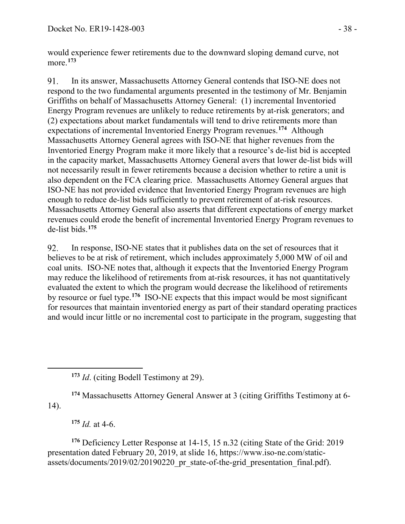would experience fewer retirements due to the downward sloping demand curve, not more.**[173](#page-37-0)**

 $91$ In its answer, Massachusetts Attorney General contends that ISO-NE does not respond to the two fundamental arguments presented in the testimony of Mr. Benjamin Griffiths on behalf of Massachusetts Attorney General: (1) incremental Inventoried Energy Program revenues are unlikely to reduce retirements by at-risk generators; and (2) expectations about market fundamentals will tend to drive retirements more than expectations of incremental Inventoried Energy Program revenues.**[174](#page-37-1)** Although Massachusetts Attorney General agrees with ISO-NE that higher revenues from the Inventoried Energy Program make it more likely that a resource's de-list bid is accepted in the capacity market, Massachusetts Attorney General avers that lower de-list bids will not necessarily result in fewer retirements because a decision whether to retire a unit is also dependent on the FCA clearing price. Massachusetts Attorney General argues that ISO-NE has not provided evidence that Inventoried Energy Program revenues are high enough to reduce de-list bids sufficiently to prevent retirement of at-risk resources. Massachusetts Attorney General also asserts that different expectations of energy market revenues could erode the benefit of incremental Inventoried Energy Program revenues to de-list bids.**[175](#page-37-2)**

In response, ISO-NE states that it publishes data on the set of resources that it 92. believes to be at risk of retirement, which includes approximately 5,000 MW of oil and coal units. ISO-NE notes that, although it expects that the Inventoried Energy Program may reduce the likelihood of retirements from at-risk resources, it has not quantitatively evaluated the extent to which the program would decrease the likelihood of retirements by resource or fuel type.**[176](#page-37-3)** ISO-NE expects that this impact would be most significant for resources that maintain inventoried energy as part of their standard operating practices and would incur little or no incremental cost to participate in the program, suggesting that

<span id="page-37-1"></span>**<sup>174</sup>** Massachusetts Attorney General Answer at 3 (citing Griffiths Testimony at 6- 14).

**<sup>175</sup>** *Id.* at 4-6.

<span id="page-37-0"></span> $\overline{a}$ 

<span id="page-37-3"></span><span id="page-37-2"></span>**<sup>176</sup>** Deficiency Letter Response at 14-15, 15 n.32 (citing State of the Grid: 2019 presentation dated February 20, 2019, at slide 16, https://www.iso-ne.com/staticassets/documents/2019/02/20190220\_pr\_state-of-the-grid\_presentation\_final.pdf).

**<sup>173</sup>** *Id*. (citing Bodell Testimony at 29).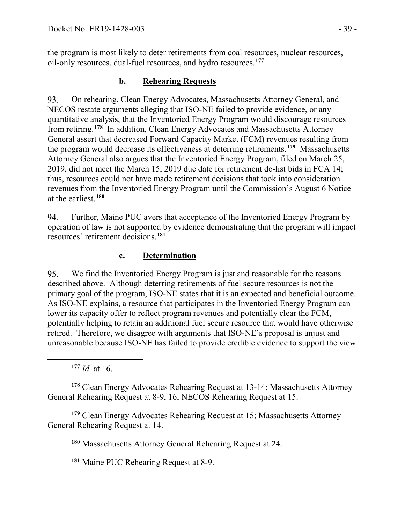the program is most likely to deter retirements from coal resources, nuclear resources, oil-only resources, dual-fuel resources, and hydro resources.**[177](#page-38-0)**

### **b. Rehearing Requests**

93. On rehearing, Clean Energy Advocates, Massachusetts Attorney General, and NECOS restate arguments alleging that ISO-NE failed to provide evidence, or any quantitative analysis, that the Inventoried Energy Program would discourage resources from retiring.**[178](#page-38-1)** In addition, Clean Energy Advocates and Massachusetts Attorney General assert that decreased Forward Capacity Market (FCM) revenues resulting from the program would decrease its effectiveness at deterring retirements.**[179](#page-38-2)** Massachusetts Attorney General also argues that the Inventoried Energy Program, filed on March 25, 2019, did not meet the March 15, 2019 due date for retirement de-list bids in FCA 14; thus, resources could not have made retirement decisions that took into consideration revenues from the Inventoried Energy Program until the Commission's August 6 Notice at the earliest.**[180](#page-38-3)**

94. Further, Maine PUC avers that acceptance of the Inventoried Energy Program by operation of law is not supported by evidence demonstrating that the program will impact resources' retirement decisions.**[181](#page-38-4)**

### **c. Determination**

We find the Inventoried Energy Program is just and reasonable for the reasons 95. described above. Although deterring retirements of fuel secure resources is not the primary goal of the program, ISO-NE states that it is an expected and beneficial outcome. As ISO-NE explains, a resource that participates in the Inventoried Energy Program can lower its capacity offer to reflect program revenues and potentially clear the FCM, potentially helping to retain an additional fuel secure resource that would have otherwise retired. Therefore, we disagree with arguments that ISO-NE's proposal is unjust and unreasonable because ISO-NE has failed to provide credible evidence to support the view

**<sup>177</sup>** *Id.* at 16.

<span id="page-38-0"></span> $\overline{a}$ 

<span id="page-38-1"></span>**<sup>178</sup>** Clean Energy Advocates Rehearing Request at 13-14; Massachusetts Attorney General Rehearing Request at 8-9, 16; NECOS Rehearing Request at 15.

<span id="page-38-4"></span><span id="page-38-3"></span><span id="page-38-2"></span>**<sup>179</sup>** Clean Energy Advocates Rehearing Request at 15; Massachusetts Attorney General Rehearing Request at 14.

**<sup>180</sup>** Massachusetts Attorney General Rehearing Request at 24.

**<sup>181</sup>** Maine PUC Rehearing Request at 8-9.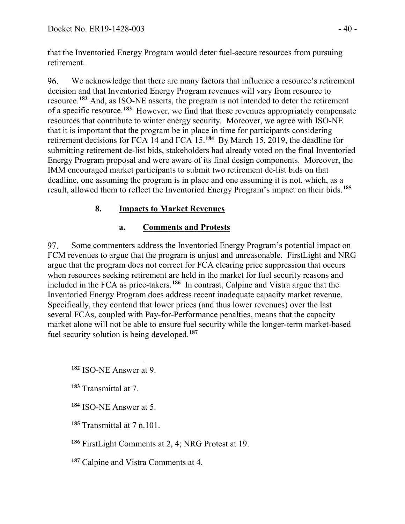that the Inventoried Energy Program would deter fuel-secure resources from pursuing retirement.

96. We acknowledge that there are many factors that influence a resource's retirement decision and that Inventoried Energy Program revenues will vary from resource to resource.**[182](#page-39-0)** And, as ISO-NE asserts, the program is not intended to deter the retirement of a specific resource.**[183](#page-39-1)** However, we find that these revenues appropriately compensate resources that contribute to winter energy security. Moreover, we agree with ISO-NE that it is important that the program be in place in time for participants considering retirement decisions for FCA 14 and FCA 15.**[184](#page-39-2)** By March 15, 2019, the deadline for submitting retirement de-list bids, stakeholders had already voted on the final Inventoried Energy Program proposal and were aware of its final design components. Moreover, the IMM encouraged market participants to submit two retirement de-list bids on that deadline, one assuming the program is in place and one assuming it is not, which, as a result, allowed them to reflect the Inventoried Energy Program's impact on their bids.**[185](#page-39-3)**

## **8. Impacts to Market Revenues**

## **a. Comments and Protests**

97. Some commenters address the Inventoried Energy Program's potential impact on FCM revenues to argue that the program is unjust and unreasonable. FirstLight and NRG argue that the program does not correct for FCA clearing price suppression that occurs when resources seeking retirement are held in the market for fuel security reasons and included in the FCA as price-takers.**[186](#page-39-4)** In contrast, Calpine and Vistra argue that the Inventoried Energy Program does address recent inadequate capacity market revenue. Specifically, they contend that lower prices (and thus lower revenues) over the last several FCAs, coupled with Pay-for-Performance penalties, means that the capacity market alone will not be able to ensure fuel security while the longer-term market-based fuel security solution is being developed.**[187](#page-39-5)**

**<sup>183</sup>** Transmittal at 7.

<span id="page-39-2"></span><span id="page-39-1"></span><span id="page-39-0"></span> $\overline{a}$ 

**<sup>184</sup>** ISO-NE Answer at 5.

<span id="page-39-3"></span>**<sup>185</sup>** Transmittal at 7 n.101.

<span id="page-39-4"></span>**<sup>186</sup>** FirstLight Comments at 2, 4; NRG Protest at 19.

<span id="page-39-5"></span>**<sup>187</sup>** Calpine and Vistra Comments at 4.

**<sup>182</sup>** ISO-NE Answer at 9.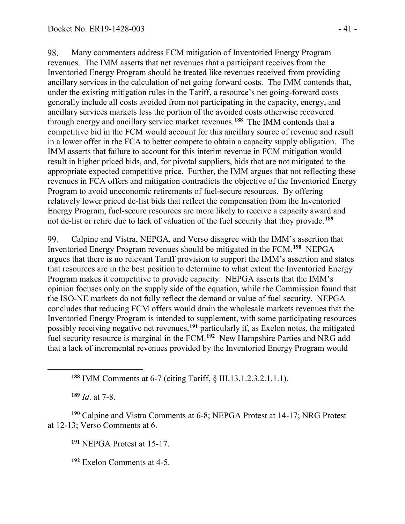98. Many commenters address FCM mitigation of Inventoried Energy Program revenues. The IMM asserts that net revenues that a participant receives from the Inventoried Energy Program should be treated like revenues received from providing ancillary services in the calculation of net going forward costs. The IMM contends that, under the existing mitigation rules in the Tariff, a resource's net going-forward costs generally include all costs avoided from not participating in the capacity, energy, and ancillary services markets less the portion of the avoided costs otherwise recovered through energy and ancillary service market revenues.**[188](#page-40-0)** The IMM contends that a competitive bid in the FCM would account for this ancillary source of revenue and result in a lower offer in the FCA to better compete to obtain a capacity supply obligation. The IMM asserts that failure to account for this interim revenue in FCM mitigation would result in higher priced bids, and, for pivotal suppliers, bids that are not mitigated to the appropriate expected competitive price. Further, the IMM argues that not reflecting these revenues in FCA offers and mitigation contradicts the objective of the Inventoried Energy Program to avoid uneconomic retirements of fuel-secure resources. By offering relatively lower priced de-list bids that reflect the compensation from the Inventoried Energy Program, fuel-secure resources are more likely to receive a capacity award and not de-list or retire due to lack of valuation of the fuel security that they provide.**[189](#page-40-1)**

99. Calpine and Vistra, NEPGA, and Verso disagree with the IMM's assertion that Inventoried Energy Program revenues should be mitigated in the FCM.**[190](#page-40-2)** NEPGA argues that there is no relevant Tariff provision to support the IMM's assertion and states that resources are in the best position to determine to what extent the Inventoried Energy Program makes it competitive to provide capacity. NEPGA asserts that the IMM's opinion focuses only on the supply side of the equation, while the Commission found that the ISO-NE markets do not fully reflect the demand or value of fuel security. NEPGA concludes that reducing FCM offers would drain the wholesale markets revenues that the Inventoried Energy Program is intended to supplement, with some participating resources possibly receiving negative net revenues,**[191](#page-40-3)** particularly if, as Exelon notes, the mitigated fuel security resource is marginal in the FCM.**[192](#page-40-4)** New Hampshire Parties and NRG add that a lack of incremental revenues provided by the Inventoried Energy Program would

**<sup>188</sup>** IMM Comments at 6-7 (citing Tariff, § III.13.1.2.3.2.1.1.1).

**<sup>189</sup>** *Id*. at 7-8.

<span id="page-40-0"></span> $\overline{a}$ 

<span id="page-40-4"></span><span id="page-40-3"></span><span id="page-40-2"></span><span id="page-40-1"></span>**<sup>190</sup>** Calpine and Vistra Comments at 6-8; NEPGA Protest at 14-17; NRG Protest at 12-13; Verso Comments at 6.

**<sup>191</sup>** NEPGA Protest at 15-17.

**<sup>192</sup>** Exelon Comments at 4-5.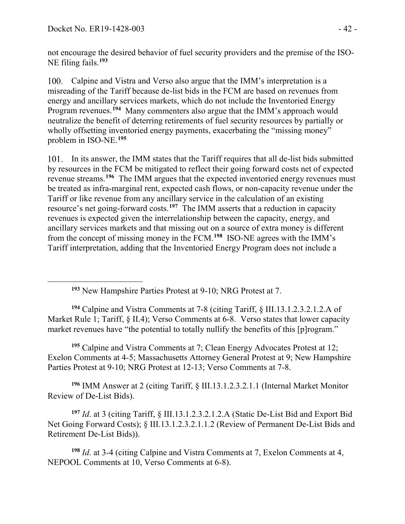<span id="page-41-0"></span>

not encourage the desired behavior of fuel security providers and the premise of the ISO-NE filing fails.**[193](#page-41-0)**

100. Calpine and Vistra and Verso also argue that the IMM's interpretation is a misreading of the Tariff because de-list bids in the FCM are based on revenues from energy and ancillary services markets, which do not include the Inventoried Energy Program revenues.**[194](#page-41-1)** Many commenters also argue that the IMM's approach would neutralize the benefit of deterring retirements of fuel security resources by partially or wholly offsetting inventoried energy payments, exacerbating the "missing money" problem in ISO-NE.**[195](#page-41-2)**

101. In its answer, the IMM states that the Tariff requires that all de-list bids submitted by resources in the FCM be mitigated to reflect their going forward costs net of expected revenue streams.**[196](#page-41-3)** The IMM argues that the expected inventoried energy revenues must be treated as infra-marginal rent, expected cash flows, or non-capacity revenue under the Tariff or like revenue from any ancillary service in the calculation of an existing resource's net going-forward costs.**[197](#page-41-4)** The IMM asserts that a reduction in capacity revenues is expected given the interrelationship between the capacity, energy, and ancillary services markets and that missing out on a source of extra money is different from the concept of missing money in the FCM.**[198](#page-41-5)** ISO-NE agrees with the IMM's Tariff interpretation, adding that the Inventoried Energy Program does not include a

**<sup>193</sup>** New Hampshire Parties Protest at 9-10; NRG Protest at 7.

<span id="page-41-1"></span>**<sup>194</sup>** Calpine and Vistra Comments at 7-8 (citing Tariff, § III.13.1.2.3.2.1.2.A of Market Rule 1; Tariff, § II.4); Verso Comments at 6-8. Verso states that lower capacity market revenues have "the potential to totally nullify the benefits of this [p]rogram."

<span id="page-41-2"></span>**<sup>195</sup>** Calpine and Vistra Comments at 7; Clean Energy Advocates Protest at 12; Exelon Comments at 4-5; Massachusetts Attorney General Protest at 9; New Hampshire Parties Protest at 9-10; NRG Protest at 12-13; Verso Comments at 7-8.

<span id="page-41-3"></span>**<sup>196</sup>** IMM Answer at 2 (citing Tariff, § III.13.1.2.3.2.1.1 (Internal Market Monitor Review of De-List Bids).

<span id="page-41-4"></span>**<sup>197</sup>** *Id*. at 3 (citing Tariff, § III.13.1.2.3.2.1.2.A (Static De-List Bid and Export Bid Net Going Forward Costs); § III.13.1.2.3.2.1.1.2 (Review of Permanent De-List Bids and Retirement De-List Bids)).

<span id="page-41-5"></span>**<sup>198</sup>** *Id*. at 3-4 (citing Calpine and Vistra Comments at 7, Exelon Comments at 4, NEPOOL Comments at 10, Verso Comments at 6-8).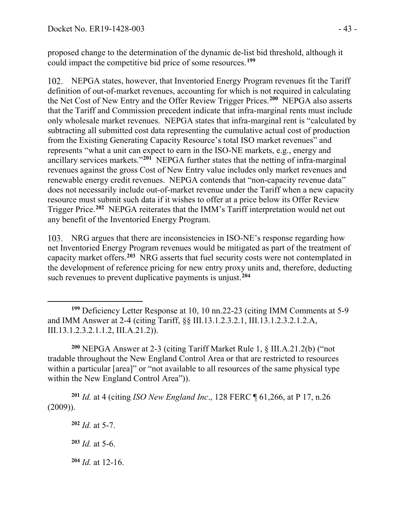proposed change to the determination of the dynamic de-list bid threshold, although it could impact the competitive bid price of some resources.**[199](#page-42-0)**

NEPGA states, however, that Inventoried Energy Program revenues fit the Tariff definition of out-of-market revenues, accounting for which is not required in calculating the Net Cost of New Entry and the Offer Review Trigger Prices.**[200](#page-42-1)** NEPGA also asserts that the Tariff and Commission precedent indicate that infra-marginal rents must include only wholesale market revenues. NEPGA states that infra-marginal rent is "calculated by subtracting all submitted cost data representing the cumulative actual cost of production from the Existing Generating Capacity Resource's total ISO market revenues" and represents "what a unit can expect to earn in the ISO-NE markets, e.g., energy and ancillary services markets."**[201](#page-42-2)** NEPGA further states that the netting of infra-marginal revenues against the gross Cost of New Entry value includes only market revenues and renewable energy credit revenues. NEPGA contends that "non-capacity revenue data" does not necessarily include out-of-market revenue under the Tariff when a new capacity resource must submit such data if it wishes to offer at a price below its Offer Review Trigger Price.**[202](#page-42-3)** NEPGA reiterates that the IMM's Tariff interpretation would net out any benefit of the Inventoried Energy Program.

NRG argues that there are inconsistencies in ISO-NE's response regarding how net Inventoried Energy Program revenues would be mitigated as part of the treatment of capacity market offers.**[203](#page-42-4)** NRG asserts that fuel security costs were not contemplated in the development of reference pricing for new entry proxy units and, therefore, deducting such revenues to prevent duplicative payments is unjust.**[204](#page-42-5)**

<span id="page-42-1"></span>**<sup>200</sup>** NEPGA Answer at 2-3 (citing Tariff Market Rule 1, § III.A.21.2(b) ("not tradable throughout the New England Control Area or that are restricted to resources within a particular [area]" or "not available to all resources of the same physical type within the New England Control Area")).

<span id="page-42-4"></span><span id="page-42-3"></span><span id="page-42-2"></span>**<sup>201</sup>** *Id.* at 4 (citing *ISO New England Inc*., 128 FERC ¶ 61,266, at P 17, n.26 (2009)).

**<sup>202</sup>** *Id.* at 5-7.

 $\overline{a}$ 

<span id="page-42-0"></span>**<sup>199</sup>** Deficiency Letter Response at 10, 10 nn.22-23 (citing IMM Comments at 5-9 and IMM Answer at 2-4 (citing Tariff, §§ III.13.1.2.3.2.1, III.13.1.2.3.2.1.2.A, III.13.1.2.3.2.1.1.2, III.A.21.2)).

**<sup>203</sup>** *Id.* at 5-6.

<span id="page-42-5"></span>**<sup>204</sup>** *Id.* at 12-16.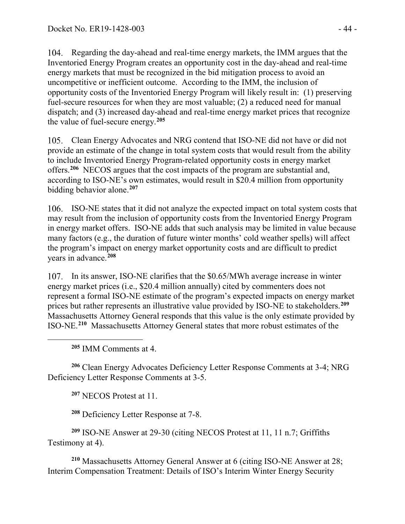Regarding the day-ahead and real-time energy markets, the IMM argues that the Inventoried Energy Program creates an opportunity cost in the day-ahead and real-time energy markets that must be recognized in the bid mitigation process to avoid an uncompetitive or inefficient outcome. According to the IMM, the inclusion of opportunity costs of the Inventoried Energy Program will likely result in: (1) preserving fuel-secure resources for when they are most valuable; (2) a reduced need for manual dispatch; and (3) increased day-ahead and real-time energy market prices that recognize the value of fuel-secure energy.**[205](#page-43-0)**

Clean Energy Advocates and NRG contend that ISO-NE did not have or did not provide an estimate of the change in total system costs that would result from the ability to include Inventoried Energy Program-related opportunity costs in energy market offers.**[206](#page-43-1)** NECOS argues that the cost impacts of the program are substantial and, according to ISO-NE's own estimates, would result in \$20.4 million from opportunity bidding behavior alone.**[207](#page-43-2)**

ISO-NE states that it did not analyze the expected impact on total system costs that may result from the inclusion of opportunity costs from the Inventoried Energy Program in energy market offers. ISO-NE adds that such analysis may be limited in value because many factors (e.g., the duration of future winter months' cold weather spells) will affect the program's impact on energy market opportunity costs and are difficult to predict years in advance.**[208](#page-43-3)**

107. In its answer, ISO-NE clarifies that the \$0.65/MWh average increase in winter energy market prices (i.e., \$20.4 million annually) cited by commenters does not represent a formal ISO-NE estimate of the program's expected impacts on energy market prices but rather represents an illustrative value provided by ISO-NE to stakeholders.**[209](#page-43-4)** Massachusetts Attorney General responds that this value is the only estimate provided by ISO-NE.**[210](#page-43-5)** Massachusetts Attorney General states that more robust estimates of the

**<sup>205</sup>** IMM Comments at 4.

<span id="page-43-0"></span> $\overline{a}$ 

<span id="page-43-2"></span><span id="page-43-1"></span>**<sup>206</sup>** Clean Energy Advocates Deficiency Letter Response Comments at 3-4; NRG Deficiency Letter Response Comments at 3-5.

**<sup>207</sup>** NECOS Protest at 11.

**<sup>208</sup>** Deficiency Letter Response at 7-8.

<span id="page-43-4"></span><span id="page-43-3"></span>**<sup>209</sup>** ISO-NE Answer at 29-30 (citing NECOS Protest at 11, 11 n.7; Griffiths Testimony at 4).

<span id="page-43-5"></span>**<sup>210</sup>** Massachusetts Attorney General Answer at 6 (citing ISO-NE Answer at 28; Interim Compensation Treatment: Details of ISO's Interim Winter Energy Security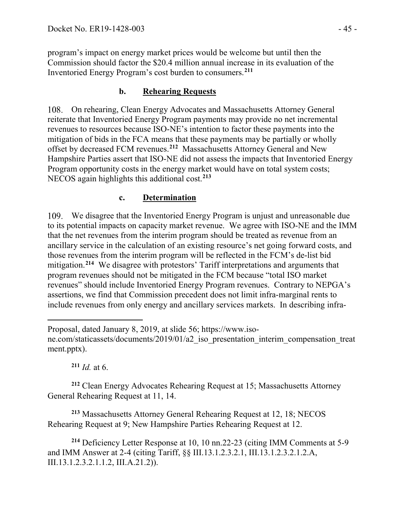program's impact on energy market prices would be welcome but until then the Commission should factor the \$20.4 million annual increase in its evaluation of the Inventoried Energy Program's cost burden to consumers.**[211](#page-44-0)**

### **b. Rehearing Requests**

On rehearing, Clean Energy Advocates and Massachusetts Attorney General reiterate that Inventoried Energy Program payments may provide no net incremental revenues to resources because ISO-NE's intention to factor these payments into the mitigation of bids in the FCA means that these payments may be partially or wholly offset by decreased FCM revenues.**[212](#page-44-1)** Massachusetts Attorney General and New Hampshire Parties assert that ISO-NE did not assess the impacts that Inventoried Energy Program opportunity costs in the energy market would have on total system costs; NECOS again highlights this additional cost.**[213](#page-44-2)**

## **c. Determination**

We disagree that the Inventoried Energy Program is unjust and unreasonable due to its potential impacts on capacity market revenue. We agree with ISO-NE and the IMM that the net revenues from the interim program should be treated as revenue from an ancillary service in the calculation of an existing resource's net going forward costs, and those revenues from the interim program will be reflected in the FCM's de-list bid mitigation.**[214](#page-44-3)** We disagree with protestors' Tariff interpretations and arguments that program revenues should not be mitigated in the FCM because "total ISO market revenues" should include Inventoried Energy Program revenues. Contrary to NEPGA's assertions, we find that Commission precedent does not limit infra-marginal rents to include revenues from only energy and ancillary services markets. In describing infra-

**<sup>211</sup>** *Id.* at 6.

 $\overline{a}$ 

<span id="page-44-1"></span><span id="page-44-0"></span>**<sup>212</sup>** Clean Energy Advocates Rehearing Request at 15; Massachusetts Attorney General Rehearing Request at 11, 14.

<span id="page-44-2"></span>**<sup>213</sup>** Massachusetts Attorney General Rehearing Request at 12, 18; NECOS Rehearing Request at 9; New Hampshire Parties Rehearing Request at 12.

<span id="page-44-3"></span>**<sup>214</sup>** Deficiency Letter Response at 10, 10 nn.22-23 (citing IMM Comments at 5-9 and IMM Answer at 2-4 (citing Tariff, §§ III.13.1.2.3.2.1, III.13.1.2.3.2.1.2.A, III.13.1.2.3.2.1.1.2, III.A.21.2)).

Proposal, dated January 8, 2019, at slide 56; https://www.iso-

ne.com/staticassets/documents/2019/01/a2\_iso\_presentation\_interim\_compensation\_treat ment.pptx).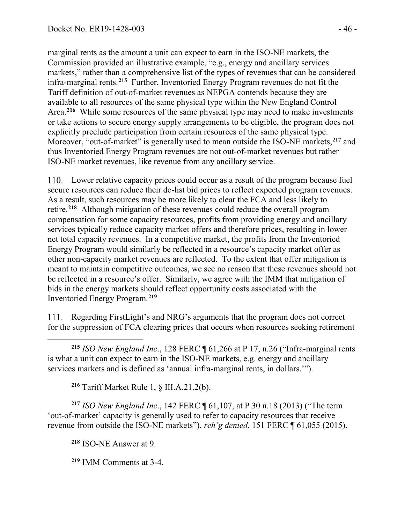marginal rents as the amount a unit can expect to earn in the ISO-NE markets, the Commission provided an illustrative example, "e.g., energy and ancillary services markets," rather than a comprehensive list of the types of revenues that can be considered infra-marginal rents.**[215](#page-45-0)** Further, Inventoried Energy Program revenues do not fit the Tariff definition of out-of-market revenues as NEPGA contends because they are available to all resources of the same physical type within the New England Control Area.<sup>[216](#page-45-1)</sup> While some resources of the same physical type may need to make investments or take actions to secure energy supply arrangements to be eligible, the program does not explicitly preclude participation from certain resources of the same physical type. Moreover, "out-of-market" is generally used to mean outside the ISO-NE markets,**[217](#page-45-2)** and thus Inventoried Energy Program revenues are not out-of-market revenues but rather ISO-NE market revenues, like revenue from any ancillary service.

Lower relative capacity prices could occur as a result of the program because fuel secure resources can reduce their de-list bid prices to reflect expected program revenues. As a result, such resources may be more likely to clear the FCA and less likely to retire.**[218](#page-45-3)** Although mitigation of these revenues could reduce the overall program compensation for some capacity resources, profits from providing energy and ancillary services typically reduce capacity market offers and therefore prices, resulting in lower net total capacity revenues. In a competitive market, the profits from the Inventoried Energy Program would similarly be reflected in a resource's capacity market offer as other non-capacity market revenues are reflected. To the extent that offer mitigation is meant to maintain competitive outcomes, we see no reason that these revenues should not be reflected in a resource's offer. Similarly, we agree with the IMM that mitigation of bids in the energy markets should reflect opportunity costs associated with the Inventoried Energy Program.**[219](#page-45-4)**

Regarding FirstLight's and NRG's arguments that the program does not correct for the suppression of FCA clearing prices that occurs when resources seeking retirement

<span id="page-45-0"></span> $\overline{a}$ **<sup>215</sup>** *ISO New England Inc*., 128 FERC ¶ 61,266 at P 17, n.26 ("Infra-marginal rents is what a unit can expect to earn in the ISO-NE markets, e.g. energy and ancillary services markets and is defined as 'annual infra-marginal rents, in dollars.'").

**<sup>216</sup>** Tariff Market Rule 1, § III.A.21.2(b).

<span id="page-45-3"></span><span id="page-45-2"></span><span id="page-45-1"></span>**<sup>217</sup>** *ISO New England Inc*., 142 FERC ¶ 61,107, at P 30 n.18 (2013) ("The term 'out-of-market' capacity is generally used to refer to capacity resources that receive revenue from outside the ISO-NE markets"), *reh'g denied*, 151 FERC ¶ 61,055 (2015).

**<sup>218</sup>** ISO-NE Answer at 9.

<span id="page-45-4"></span>**<sup>219</sup>** IMM Comments at 3-4.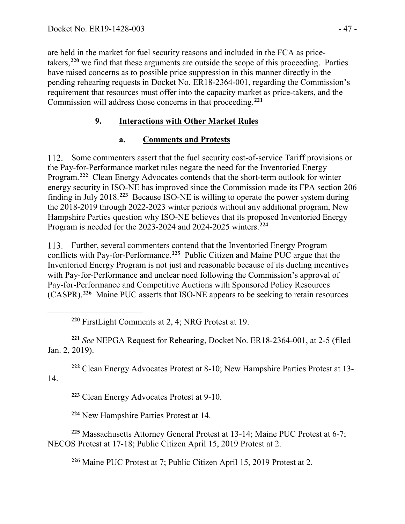<span id="page-46-0"></span> $\overline{a}$ 

are held in the market for fuel security reasons and included in the FCA as pricetakers,**[220](#page-46-0)** we find that these arguments are outside the scope of this proceeding. Parties have raised concerns as to possible price suppression in this manner directly in the pending rehearing requests in Docket No. ER18-2364-001, regarding the Commission's requirement that resources must offer into the capacity market as price-takers, and the Commission will address those concerns in that proceeding.**[221](#page-46-1)**

## **9. Interactions with Other Market Rules**

### **a. Comments and Protests**

112. Some commenters assert that the fuel security cost-of-service Tariff provisions or the Pay-for-Performance market rules negate the need for the Inventoried Energy Program.**[222](#page-46-2)** Clean Energy Advocates contends that the short-term outlook for winter energy security in ISO-NE has improved since the Commission made its FPA section 206 finding in July 2018.**[223](#page-46-3)** Because ISO-NE is willing to operate the power system during the 2018-2019 through 2022-2023 winter periods without any additional program, New Hampshire Parties question why ISO-NE believes that its proposed Inventoried Energy Program is needed for the 2023-2024 and 2024-2025 winters.**[224](#page-46-4)**

113. Further, several commenters contend that the Inventoried Energy Program conflicts with Pay-for-Performance.**[225](#page-46-5)** Public Citizen and Maine PUC argue that the Inventoried Energy Program is not just and reasonable because of its dueling incentives with Pay-for-Performance and unclear need following the Commission's approval of Pay-for-Performance and Competitive Auctions with Sponsored Policy Resources (CASPR).**[226](#page-46-6)** Maine PUC asserts that ISO-NE appears to be seeking to retain resources

**<sup>220</sup>** FirstLight Comments at 2, 4; NRG Protest at 19.

<span id="page-46-1"></span>**<sup>221</sup>** *See* NEPGA Request for Rehearing, Docket No. ER18-2364-001, at 2-5 (filed Jan. 2, 2019).

<span id="page-46-3"></span><span id="page-46-2"></span>**<sup>222</sup>** Clean Energy Advocates Protest at 8-10; New Hampshire Parties Protest at 13- 14.

**<sup>223</sup>** Clean Energy Advocates Protest at 9-10.

**<sup>224</sup>** New Hampshire Parties Protest at 14.

<span id="page-46-6"></span><span id="page-46-5"></span><span id="page-46-4"></span>**<sup>225</sup>** Massachusetts Attorney General Protest at 13-14; Maine PUC Protest at 6-7; NECOS Protest at 17-18; Public Citizen April 15, 2019 Protest at 2.

**<sup>226</sup>** Maine PUC Protest at 7; Public Citizen April 15, 2019 Protest at 2.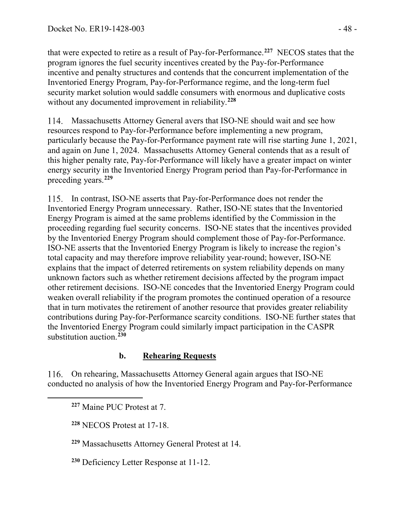that were expected to retire as a result of Pay-for-Performance.**[227](#page-47-0)** NECOS states that the program ignores the fuel security incentives created by the Pay-for-Performance incentive and penalty structures and contends that the concurrent implementation of the Inventoried Energy Program, Pay-for-Performance regime, and the long-term fuel security market solution would saddle consumers with enormous and duplicative costs without any documented improvement in reliability.**[228](#page-47-1)**

Massachusetts Attorney General avers that ISO-NE should wait and see how resources respond to Pay-for-Performance before implementing a new program, particularly because the Pay-for-Performance payment rate will rise starting June 1, 2021, and again on June 1, 2024. Massachusetts Attorney General contends that as a result of this higher penalty rate, Pay-for-Performance will likely have a greater impact on winter energy security in the Inventoried Energy Program period than Pay-for-Performance in preceding years.**[229](#page-47-2)**

In contrast, ISO-NE asserts that Pay-for-Performance does not render the Inventoried Energy Program unnecessary. Rather, ISO-NE states that the Inventoried Energy Program is aimed at the same problems identified by the Commission in the proceeding regarding fuel security concerns. ISO-NE states that the incentives provided by the Inventoried Energy Program should complement those of Pay-for-Performance. ISO-NE asserts that the Inventoried Energy Program is likely to increase the region's total capacity and may therefore improve reliability year-round; however, ISO-NE explains that the impact of deterred retirements on system reliability depends on many unknown factors such as whether retirement decisions affected by the program impact other retirement decisions. ISO-NE concedes that the Inventoried Energy Program could weaken overall reliability if the program promotes the continued operation of a resource that in turn motivates the retirement of another resource that provides greater reliability contributions during Pay-for-Performance scarcity conditions. ISO-NE further states that the Inventoried Energy Program could similarly impact participation in the CASPR substitution auction.**[230](#page-47-3)**

### **b. Rehearing Requests**

On rehearing, Massachusetts Attorney General again argues that ISO-NE conducted no analysis of how the Inventoried Energy Program and Pay-for-Performance

<span id="page-47-2"></span><span id="page-47-1"></span><span id="page-47-0"></span> $\overline{a}$ 

<span id="page-47-3"></span>**<sup>230</sup>** Deficiency Letter Response at 11-12.

**<sup>227</sup>** Maine PUC Protest at 7.

**<sup>228</sup>** NECOS Protest at 17-18.

**<sup>229</sup>** Massachusetts Attorney General Protest at 14.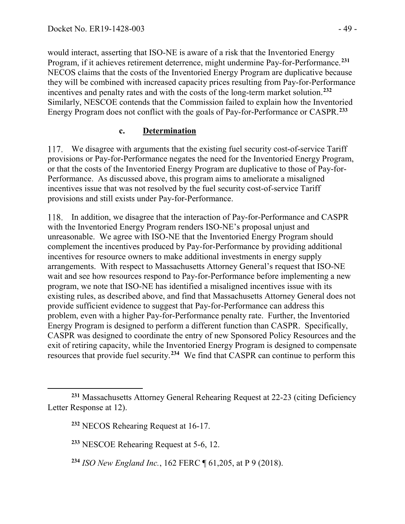would interact, asserting that ISO-NE is aware of a risk that the Inventoried Energy Program, if it achieves retirement deterrence, might undermine Pay-for-Performance.**[231](#page-48-0)** NECOS claims that the costs of the Inventoried Energy Program are duplicative because they will be combined with increased capacity prices resulting from Pay-for-Performance incentives and penalty rates and with the costs of the long-term market solution.**[232](#page-48-1)** Similarly, NESCOE contends that the Commission failed to explain how the Inventoried Energy Program does not conflict with the goals of Pay-for-Performance or CASPR.**[233](#page-48-2)**

#### **c. Determination**

117. We disagree with arguments that the existing fuel security cost-of-service Tariff provisions or Pay-for-Performance negates the need for the Inventoried Energy Program, or that the costs of the Inventoried Energy Program are duplicative to those of Pay-for-Performance. As discussed above, this program aims to ameliorate a misaligned incentives issue that was not resolved by the fuel security cost-of-service Tariff provisions and still exists under Pay-for-Performance.

118. In addition, we disagree that the interaction of Pay-for-Performance and CASPR with the Inventoried Energy Program renders ISO-NE's proposal unjust and unreasonable. We agree with ISO-NE that the Inventoried Energy Program should complement the incentives produced by Pay-for-Performance by providing additional incentives for resource owners to make additional investments in energy supply arrangements. With respect to Massachusetts Attorney General's request that ISO-NE wait and see how resources respond to Pay-for-Performance before implementing a new program, we note that ISO-NE has identified a misaligned incentives issue with its existing rules, as described above, and find that Massachusetts Attorney General does not provide sufficient evidence to suggest that Pay-for-Performance can address this problem, even with a higher Pay-for-Performance penalty rate. Further, the Inventoried Energy Program is designed to perform a different function than CASPR. Specifically, CASPR was designed to coordinate the entry of new Sponsored Policy Resources and the exit of retiring capacity, while the Inventoried Energy Program is designed to compensate resources that provide fuel security. **[234](#page-48-3)** We find that CASPR can continue to perform this

 $\overline{a}$ 

<span id="page-48-2"></span><span id="page-48-1"></span><span id="page-48-0"></span>**<sup>231</sup>** Massachusetts Attorney General Rehearing Request at 22-23 (citing Deficiency Letter Response at 12).

**<sup>232</sup>** NECOS Rehearing Request at 16-17.

**<sup>233</sup>** NESCOE Rehearing Request at 5-6, 12.

<span id="page-48-3"></span>**<sup>234</sup>** *ISO New England Inc.*, 162 FERC ¶ 61,205, at P 9 (2018).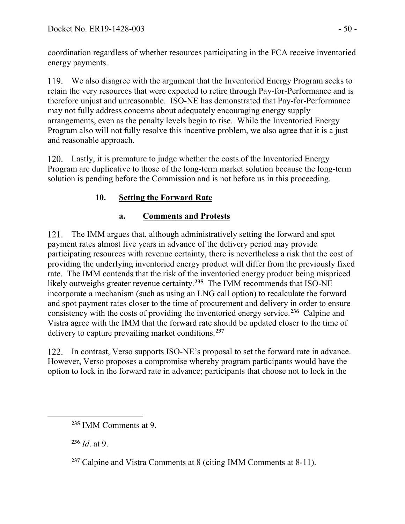coordination regardless of whether resources participating in the FCA receive inventoried energy payments.

We also disagree with the argument that the Inventoried Energy Program seeks to retain the very resources that were expected to retire through Pay-for-Performance and is therefore unjust and unreasonable. ISO-NE has demonstrated that Pay-for-Performance may not fully address concerns about adequately encouraging energy supply arrangements, even as the penalty levels begin to rise. While the Inventoried Energy Program also will not fully resolve this incentive problem, we also agree that it is a just and reasonable approach.

120. Lastly, it is premature to judge whether the costs of the Inventoried Energy Program are duplicative to those of the long-term market solution because the long-term solution is pending before the Commission and is not before us in this proceeding.

# **10. Setting the Forward Rate**

# **a. Comments and Protests**

121. The IMM argues that, although administratively setting the forward and spot payment rates almost five years in advance of the delivery period may provide participating resources with revenue certainty, there is nevertheless a risk that the cost of providing the underlying inventoried energy product will differ from the previously fixed rate. The IMM contends that the risk of the inventoried energy product being mispriced likely outweighs greater revenue certainty.<sup>[235](#page-49-0)</sup> The IMM recommends that ISO-NE incorporate a mechanism (such as using an LNG call option) to recalculate the forward and spot payment rates closer to the time of procurement and delivery in order to ensure consistency with the costs of providing the inventoried energy service.**[236](#page-49-1)** Calpine and Vistra agree with the IMM that the forward rate should be updated closer to the time of delivery to capture prevailing market conditions.**[237](#page-49-2)**

122. In contrast, Verso supports ISO-NE's proposal to set the forward rate in advance. However, Verso proposes a compromise whereby program participants would have the option to lock in the forward rate in advance; participants that choose not to lock in the

**<sup>236</sup>** *Id*. at 9.

<span id="page-49-2"></span><span id="page-49-1"></span><span id="page-49-0"></span> $\overline{a}$ 

**<sup>235</sup>** IMM Comments at 9.

**<sup>237</sup>** Calpine and Vistra Comments at 8 (citing IMM Comments at 8-11).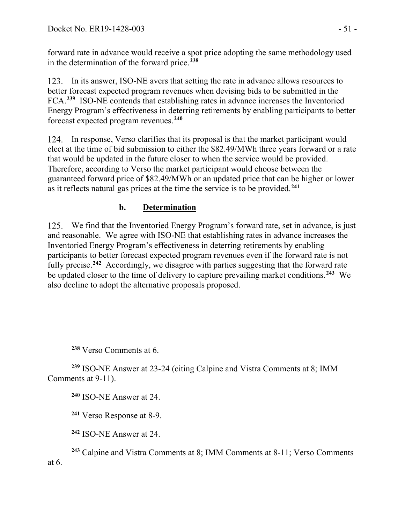forward rate in advance would receive a spot price adopting the same methodology used in the determination of the forward price.**[238](#page-50-0)**

123. In its answer, ISO-NE avers that setting the rate in advance allows resources to better forecast expected program revenues when devising bids to be submitted in the FCA.**[239](#page-50-1)** ISO-NE contends that establishing rates in advance increases the Inventoried Energy Program's effectiveness in deterring retirements by enabling participants to better forecast expected program revenues.**[240](#page-50-2)**

124. In response, Verso clarifies that its proposal is that the market participant would elect at the time of bid submission to either the \$82.49/MWh three years forward or a rate that would be updated in the future closer to when the service would be provided. Therefore, according to Verso the market participant would choose between the guaranteed forward price of \$82.49/MWh or an updated price that can be higher or lower as it reflects natural gas prices at the time the service is to be provided.**[241](#page-50-3)**

## **b. Determination**

We find that the Inventoried Energy Program's forward rate, set in advance, is just and reasonable. We agree with ISO-NE that establishing rates in advance increases the Inventoried Energy Program's effectiveness in deterring retirements by enabling participants to better forecast expected program revenues even if the forward rate is not fully precise.**[242](#page-50-4)** Accordingly, we disagree with parties suggesting that the forward rate be updated closer to the time of delivery to capture prevailing market conditions.**[243](#page-50-5)** We also decline to adopt the alternative proposals proposed.

**<sup>238</sup>** Verso Comments at 6.

<span id="page-50-0"></span> $\overline{a}$ 

<span id="page-50-2"></span><span id="page-50-1"></span>**<sup>239</sup>** ISO-NE Answer at 23-24 (citing Calpine and Vistra Comments at 8; IMM Comments at 9-11).

**<sup>240</sup>** ISO-NE Answer at 24.

**<sup>241</sup>** Verso Response at 8-9.

**<sup>242</sup>** ISO-NE Answer at 24.

<span id="page-50-5"></span><span id="page-50-4"></span><span id="page-50-3"></span>**<sup>243</sup>** Calpine and Vistra Comments at 8; IMM Comments at 8-11; Verso Comments at 6.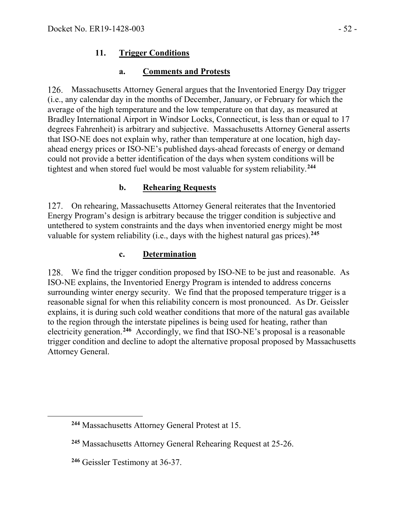#### **11. Trigger Conditions**

#### **a. Comments and Protests**

126. Massachusetts Attorney General argues that the Inventoried Energy Day trigger (i.e., any calendar day in the months of December, January, or February for which the average of the high temperature and the low temperature on that day, as measured at Bradley International Airport in Windsor Locks, Connecticut, is less than or equal to 17 degrees Fahrenheit) is arbitrary and subjective. Massachusetts Attorney General asserts that ISO-NE does not explain why, rather than temperature at one location, high dayahead energy prices or ISO-NE's published days-ahead forecasts of energy or demand could not provide a better identification of the days when system conditions will be tightest and when stored fuel would be most valuable for system reliability.**[244](#page-51-0)**

#### **b. Rehearing Requests**

127. On rehearing, Massachusetts Attorney General reiterates that the Inventoried Energy Program's design is arbitrary because the trigger condition is subjective and untethered to system constraints and the days when inventoried energy might be most valuable for system reliability (i.e., days with the highest natural gas prices).**[245](#page-51-1)**

#### **c. Determination**

We find the trigger condition proposed by ISO-NE to be just and reasonable. As ISO-NE explains, the Inventoried Energy Program is intended to address concerns surrounding winter energy security. We find that the proposed temperature trigger is a reasonable signal for when this reliability concern is most pronounced. As Dr. Geissler explains, it is during such cold weather conditions that more of the natural gas available to the region through the interstate pipelines is being used for heating, rather than electricity generation.**[246](#page-51-2)** Accordingly, we find that ISO-NE's proposal is a reasonable trigger condition and decline to adopt the alternative proposal proposed by Massachusetts Attorney General.

<span id="page-51-2"></span><span id="page-51-1"></span><span id="page-51-0"></span> $\overline{a}$ 

**<sup>244</sup>** Massachusetts Attorney General Protest at 15.

**<sup>245</sup>** Massachusetts Attorney General Rehearing Request at 25-26.

**<sup>246</sup>** Geissler Testimony at 36-37.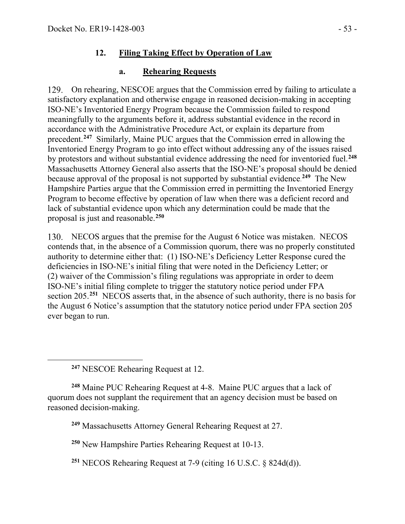### **12. Filing Taking Effect by Operation of Law**

#### **a. Rehearing Requests**

129. On rehearing, NESCOE argues that the Commission erred by failing to articulate a satisfactory explanation and otherwise engage in reasoned decision-making in accepting ISO-NE's Inventoried Energy Program because the Commission failed to respond meaningfully to the arguments before it, address substantial evidence in the record in accordance with the Administrative Procedure Act, or explain its departure from precedent.**[247](#page-52-0)** Similarly, Maine PUC argues that the Commission erred in allowing the Inventoried Energy Program to go into effect without addressing any of the issues raised by protestors and without substantial evidence addressing the need for inventoried fuel.**[248](#page-52-1)** Massachusetts Attorney General also asserts that the ISO-NE's proposal should be denied because approval of the proposal is not supported by substantial evidence. **[249](#page-52-2)** The New Hampshire Parties argue that the Commission erred in permitting the Inventoried Energy Program to become effective by operation of law when there was a deficient record and lack of substantial evidence upon which any determination could be made that the proposal is just and reasonable.**[250](#page-52-3)**

130. NECOS argues that the premise for the August 6 Notice was mistaken. NECOS contends that, in the absence of a Commission quorum, there was no properly constituted authority to determine either that: (1) ISO-NE's Deficiency Letter Response cured the deficiencies in ISO-NE's initial filing that were noted in the Deficiency Letter; or (2) waiver of the Commission's filing regulations was appropriate in order to deem ISO-NE's initial filing complete to trigger the statutory notice period under FPA section 205.**[251](#page-52-4)** NECOS asserts that, in the absence of such authority, there is no basis for the August 6 Notice's assumption that the statutory notice period under FPA section 205 ever began to run.

**<sup>247</sup>** NESCOE Rehearing Request at 12.

<span id="page-52-0"></span> $\overline{a}$ 

<span id="page-52-2"></span><span id="page-52-1"></span>**<sup>248</sup>** Maine PUC Rehearing Request at 4-8. Maine PUC argues that a lack of quorum does not supplant the requirement that an agency decision must be based on reasoned decision-making.

**<sup>249</sup>** Massachusetts Attorney General Rehearing Request at 27.

<span id="page-52-3"></span>**<sup>250</sup>** New Hampshire Parties Rehearing Request at 10-13.

<span id="page-52-4"></span>**<sup>251</sup>** NECOS Rehearing Request at 7-9 (citing 16 U.S.C. § 824d(d)).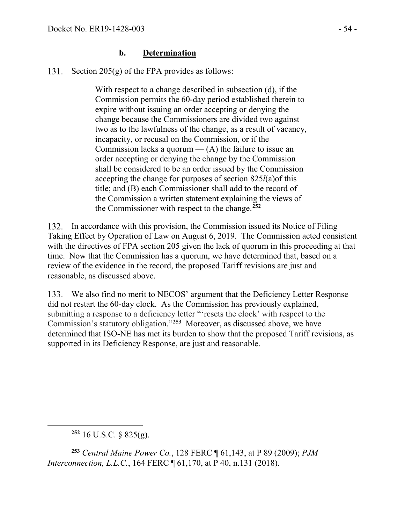#### **b. Determination**

Section  $205(g)$  of the FPA provides as follows: 131.

> With respect to a change described in subsection (d), if the Commission permits the 60-day period established therein to expire without issuing an order accepting or denying the change because the Commissioners are divided two against two as to the lawfulness of the change, as a result of vacancy, incapacity, or recusal on the Commission, or if the Commission lacks a quorum  $-$  (A) the failure to issue an order accepting or denying the change by the Commission shall be considered to be an order issued by the Commission accepting the change for purposes of section 825*l*(a)of this title; and (B) each Commissioner shall add to the record of the Commission a written statement explaining the views of the Commissioner with respect to the change.**[252](#page-53-0)**

In accordance with this provision, the Commission issued its Notice of Filing Taking Effect by Operation of Law on August 6, 2019. The Commission acted consistent with the directives of FPA section 205 given the lack of quorum in this proceeding at that time. Now that the Commission has a quorum, we have determined that, based on a review of the evidence in the record, the proposed Tariff revisions are just and reasonable, as discussed above.

We also find no merit to NECOS' argument that the Deficiency Letter Response did not restart the 60-day clock. As the Commission has previously explained, submitting a response to a deficiency letter "'resets the clock' with respect to the Commission's statutory obligation."**[253](#page-53-1)** Moreover, as discussed above, we have determined that ISO-NE has met its burden to show that the proposed Tariff revisions, as supported in its Deficiency Response, are just and reasonable.

**<sup>252</sup>** 16 U.S.C. § 825(g).

<span id="page-53-0"></span> $\overline{a}$ 

<span id="page-53-1"></span>**<sup>253</sup>** *Central Maine Power Co.*, 128 FERC ¶ 61,143, at P 89 (2009); *PJM Interconnection, L.L.C.*, 164 FERC ¶ 61,170, at P 40, n.131 (2018).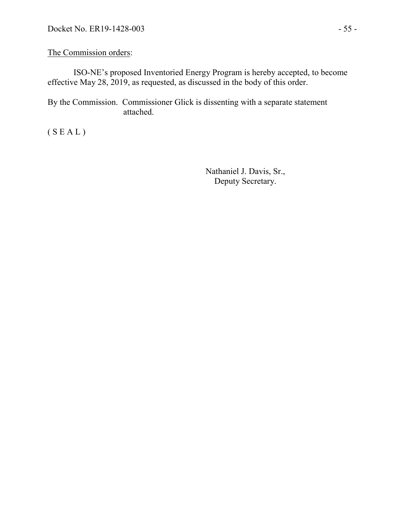#### The Commission orders:

ISO-NE's proposed Inventoried Energy Program is hereby accepted, to become effective May 28, 2019, as requested, as discussed in the body of this order.

By the Commission. Commissioner Glick is dissenting with a separate statement attached.

 $(S E A L)$ 

Nathaniel J. Davis, Sr., Deputy Secretary.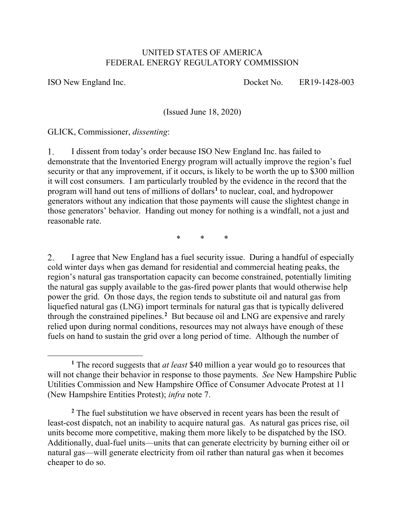#### UNITED STATES OF AMERICA FEDERAL ENERGY REGULATORY COMMISSION

 $\overline{a}$ 

ISO New England Inc. Docket No. ER19-1428-003

(Issued June 18, 2020)

GLICK, Commissioner, *dissenting*:

I dissent from today's order because ISO New England Inc. has failed to 1. demonstrate that the Inventoried Energy program will actually improve the region's fuel security or that any improvement, if it occurs, is likely to be worth the up to \$300 million it will cost consumers. I am particularly troubled by the evidence in the record that the program will hand out tens of millions of dollars**[1](#page-55-0)** to nuclear, coal, and hydropower generators without any indication that those payments will cause the slightest change in those generators' behavior. Handing out money for nothing is a windfall, not a just and reasonable rate.

\* \* \*

I agree that New England has a fuel security issue. During a handful of especially 2. cold winter days when gas demand for residential and commercial heating peaks, the region's natural gas transportation capacity can become constrained, potentially limiting the natural gas supply available to the gas-fired power plants that would otherwise help power the grid. On those days, the region tends to substitute oil and natural gas from liquefied natural gas (LNG) import terminals for natural gas that is typically delivered through the constrained pipelines.**[2](#page-55-1)** But because oil and LNG are expensive and rarely relied upon during normal conditions, resources may not always have enough of these fuels on hand to sustain the grid over a long period of time. Although the number of

<span id="page-55-0"></span>**<sup>1</sup>** The record suggests that *at least* \$40 million a year would go to resources that will not change their behavior in response to those payments. *See* New Hampshire Public Utilities Commission and New Hampshire Office of Consumer Advocate Protest at 11 (New Hampshire Entities Protest); *infra* note [7.](#page-57-0)

<span id="page-55-1"></span>**<sup>2</sup>** The fuel substitution we have observed in recent years has been the result of least-cost dispatch, not an inability to acquire natural gas. As natural gas prices rise, oil units become more competitive, making them more likely to be dispatched by the ISO. Additionally, dual-fuel units—units that can generate electricity by burning either oil or natural gas—will generate electricity from oil rather than natural gas when it becomes cheaper to do so.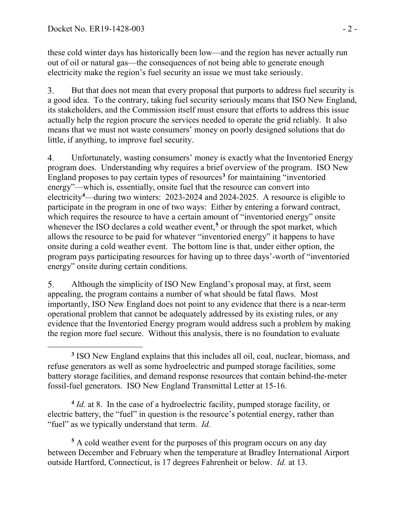these cold winter days has historically been low—and the region has never actually run out of oil or natural gas—the consequences of not being able to generate enough electricity make the region's fuel security an issue we must take seriously.

 $3<sub>1</sub>$ But that does not mean that every proposal that purports to address fuel security is a good idea. To the contrary, taking fuel security seriously means that ISO New England, its stakeholders, and the Commission itself must ensure that efforts to address this issue actually help the region procure the services needed to operate the grid reliably. It also means that we must not waste consumers' money on poorly designed solutions that do little, if anything, to improve fuel security.

<span id="page-56-3"></span>Unfortunately, wasting consumers' money is exactly what the Inventoried Energy  $\overline{4}$ . program does. Understanding why requires a brief overview of the program. ISO New England proposes to pay certain types of resources**[3](#page-56-0)** for maintaining "inventoried energy"—which is, essentially, onsite fuel that the resource can convert into electricity**[4](#page-56-1)** —during two winters: 2023-2024 and 2024-2025. A resource is eligible to participate in the program in one of two ways: Either by entering a forward contract, which requires the resource to have a certain amount of "inventoried energy" onsite whenever the ISO declares a cold weather event,<sup>[5](#page-56-2)</sup> or through the spot market, which allows the resource to be paid for whatever "inventoried energy" it happens to have onsite during a cold weather event. The bottom line is that, under either option, the program pays participating resources for having up to three days'-worth of "inventoried energy" onsite during certain conditions.

Although the simplicity of ISO New England's proposal may, at first, seem 5. appealing, the program contains a number of what should be fatal flaws. Most importantly, ISO New England does not point to any evidence that there is a near-term operational problem that cannot be adequately addressed by its existing rules, or any evidence that the Inventoried Energy program would address such a problem by making the region more fuel secure. Without this analysis, there is no foundation to evaluate

<span id="page-56-1"></span>**<sup>4</sup>** *Id.* at 8. In the case of a hydroelectric facility, pumped storage facility, or electric battery, the "fuel" in question is the resource's potential energy, rather than "fuel" as we typically understand that term. *Id.* 

<span id="page-56-2"></span>**<sup>5</sup>** A cold weather event for the purposes of this program occurs on any day between December and February when the temperature at Bradley International Airport outside Hartford, Connecticut, is 17 degrees Fahrenheit or below. *Id.* at 13.

<span id="page-56-0"></span> $\overline{a}$ **<sup>3</sup>** ISO New England explains that this includes all oil, coal, nuclear, biomass, and refuse generators as well as some hydroelectric and pumped storage facilities, some battery storage facilities, and demand response resources that contain behind-the-meter fossil-fuel generators. ISO New England Transmittal Letter at 15-16.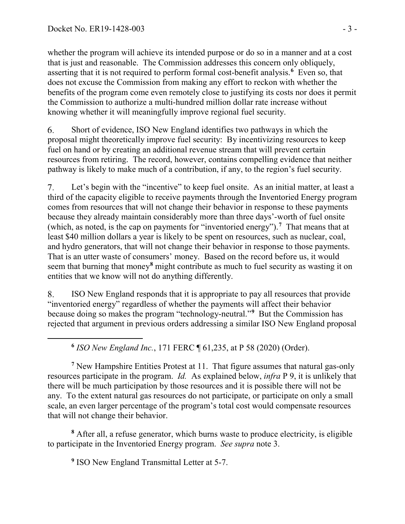<span id="page-57-1"></span> $\overline{a}$ 

whether the program will achieve its intended purpose or do so in a manner and at a cost that is just and reasonable. The Commission addresses this concern only obliquely, asserting that it is not required to perform formal cost-benefit analysis.**[6](#page-57-1)** Even so, that does not excuse the Commission from making any effort to reckon with whether the benefits of the program come even remotely close to justifying its costs nor does it permit the Commission to authorize a multi-hundred million dollar rate increase without knowing whether it will meaningfully improve regional fuel security.

6. Short of evidence, ISO New England identifies two pathways in which the proposal might theoretically improve fuel security: By incentivizing resources to keep fuel on hand or by creating an additional revenue stream that will prevent certain resources from retiring. The record, however, contains compelling evidence that neither pathway is likely to make much of a contribution, if any, to the region's fuel security.

<span id="page-57-0"></span>Let's begin with the "incentive" to keep fuel onsite. As an initial matter, at least a  $7.$ third of the capacity eligible to receive payments through the Inventoried Energy program comes from resources that will not change their behavior in response to these payments because they already maintain considerably more than three days'-worth of fuel onsite (which, as noted, is the cap on payments for "inventoried energy").**[7](#page-57-2)** That means that at least \$40 million dollars a year is likely to be spent on resources, such as nuclear, coal, and hydro generators, that will not change their behavior in response to those payments. That is an utter waste of consumers' money. Based on the record before us, it would seem that burning that money**[8](#page-57-3)** might contribute as much to fuel security as wasting it on entities that we know will not do anything differently.

ISO New England responds that it is appropriate to pay all resources that provide 8. "inventoried energy" regardless of whether the payments will affect their behavior because doing so makes the program "technology-neutral."**[9](#page-57-4)** But the Commission has rejected that argument in previous orders addressing a similar ISO New England proposal

**<sup>6</sup>** *ISO New England Inc.*, 171 FERC ¶ 61,235, at P 58 (2020) (Order).

<span id="page-57-2"></span>**<sup>7</sup>** New Hampshire Entities Protest at 11. That figure assumes that natural gas-only resources participate in the program. *Id.* As explained below, *infra* P 9, it is unlikely that there will be much participation by those resources and it is possible there will not be any. To the extent natural gas resources do not participate, or participate on only a small scale, an even larger percentage of the program's total cost would compensate resources that will not change their behavior.

<span id="page-57-4"></span><span id="page-57-3"></span>**<sup>8</sup>** After all, a refuse generator, which burns waste to produce electricity, is eligible to participate in the Inventoried Energy program. *See supra* note [3.](#page-56-3)

**<sup>9</sup>** ISO New England Transmittal Letter at 5-7.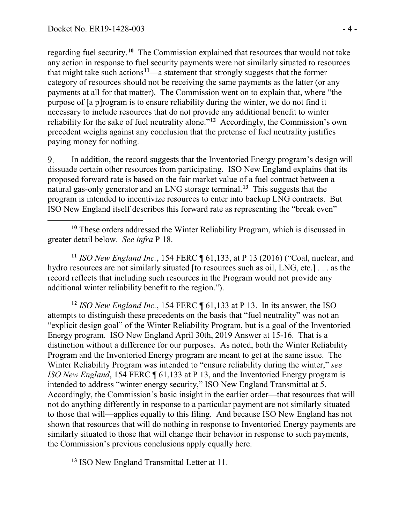regarding fuel security.**[10](#page-58-0)** The Commission explained that resources that would not take any action in response to fuel security payments were not similarly situated to resources that might take such actions<sup>[11](#page-58-1)</sup>—a statement that strongly suggests that the former category of resources should not be receiving the same payments as the latter (or any payments at all for that matter). The Commission went on to explain that, where "the purpose of [a p]rogram is to ensure reliability during the winter, we do not find it necessary to include resources that do not provide any additional benefit to winter reliability for the sake of fuel neutrality alone."**[12](#page-58-2)** Accordingly, the Commission's own precedent weighs against any conclusion that the pretense of fuel neutrality justifies paying money for nothing.

9. In addition, the record suggests that the Inventoried Energy program's design will dissuade certain other resources from participating. ISO New England explains that its proposed forward rate is based on the fair market value of a fuel contract between a natural gas-only generator and an LNG storage terminal.**[13](#page-58-3)** This suggests that the program is intended to incentivize resources to enter into backup LNG contracts. But ISO New England itself describes this forward rate as representing the "break even"

<span id="page-58-0"></span> $\overline{a}$ **<sup>10</sup>** These orders addressed the Winter Reliability Program, which is discussed in greater detail below. *See infra* P 18.

<span id="page-58-1"></span>**<sup>11</sup>** *ISO New England Inc.*, 154 FERC ¶ 61,133, at P 13 (2016) ("Coal, nuclear, and hydro resources are not similarly situated [to resources such as oil, LNG, etc.] . . . as the record reflects that including such resources in the Program would not provide any additional winter reliability benefit to the region.").

<span id="page-58-2"></span>**<sup>12</sup>** *ISO New England Inc.*, 154 FERC ¶ 61,133 at P 13. In its answer, the ISO attempts to distinguish these precedents on the basis that "fuel neutrality" was not an "explicit design goal" of the Winter Reliability Program, but is a goal of the Inventoried Energy program. ISO New England April 30th, 2019 Answer at 15-16. That is a distinction without a difference for our purposes. As noted, both the Winter Reliability Program and the Inventoried Energy program are meant to get at the same issue. The Winter Reliability Program was intended to "ensure reliability during the winter," *see ISO New England*, 154 FERC ¶ 61,133 at P 13, and the Inventoried Energy program is intended to address "winter energy security," ISO New England Transmittal at 5. Accordingly, the Commission's basic insight in the earlier order—that resources that will not do anything differently in response to a particular payment are not similarly situated to those that will—applies equally to this filing. And because ISO New England has not shown that resources that will do nothing in response to Inventoried Energy payments are similarly situated to those that will change their behavior in response to such payments, the Commission's previous conclusions apply equally here.

<span id="page-58-3"></span>**<sup>13</sup>** ISO New England Transmittal Letter at 11.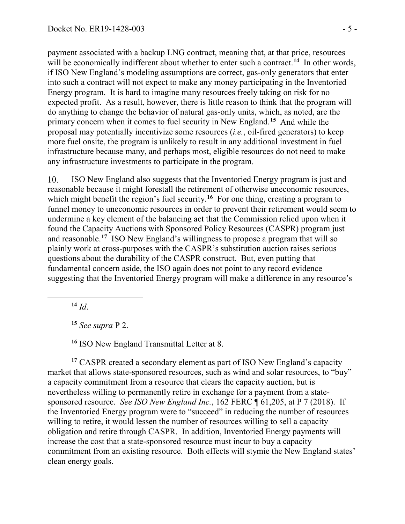payment associated with a backup LNG contract, meaning that, at that price, resources will be economically indifferent about whether to enter such a contract.<sup>[14](#page-59-0)</sup> In other words, if ISO New England's modeling assumptions are correct, gas-only generators that enter into such a contract will not expect to make any money participating in the Inventoried Energy program. It is hard to imagine many resources freely taking on risk for no expected profit. As a result, however, there is little reason to think that the program will do anything to change the behavior of natural gas-only units, which, as noted, are the primary concern when it comes to fuel security in New England.**[15](#page-59-1)** And while the proposal may potentially incentivize some resources (*i.e.*, oil-fired generators) to keep more fuel onsite, the program is unlikely to result in any additional investment in fuel infrastructure because many, and perhaps most, eligible resources do not need to make any infrastructure investments to participate in the program.

 $10.$ ISO New England also suggests that the Inventoried Energy program is just and reasonable because it might forestall the retirement of otherwise uneconomic resources, which might benefit the region's fuel security.<sup>[16](#page-59-2)</sup> For one thing, creating a program to funnel money to uneconomic resources in order to prevent their retirement would seem to undermine a key element of the balancing act that the Commission relied upon when it found the Capacity Auctions with Sponsored Policy Resources (CASPR) program just and reasonable.**[17](#page-59-3)** ISO New England's willingness to propose a program that will so plainly work at cross-purposes with the CASPR's substitution auction raises serious questions about the durability of the CASPR construct. But, even putting that fundamental concern aside, the ISO again does not point to any record evidence suggesting that the Inventoried Energy program will make a difference in any resource's

**<sup>14</sup>** *Id*.

<span id="page-59-1"></span><span id="page-59-0"></span> $\overline{a}$ 

**<sup>15</sup>** *See supra* P 2.

**<sup>16</sup>** ISO New England Transmittal Letter at 8.

<span id="page-59-3"></span><span id="page-59-2"></span>**<sup>17</sup>** CASPR created a secondary element as part of ISO New England's capacity market that allows state-sponsored resources, such as wind and solar resources, to "buy" a capacity commitment from a resource that clears the capacity auction, but is nevertheless willing to permanently retire in exchange for a payment from a statesponsored resource. *See ISO New England Inc.*, 162 FERC ¶ 61,205, at P 7 (2018). If the Inventoried Energy program were to "succeed" in reducing the number of resources willing to retire, it would lessen the number of resources willing to sell a capacity obligation and retire through CASPR. In addition, Inventoried Energy payments will increase the cost that a state-sponsored resource must incur to buy a capacity commitment from an existing resource. Both effects will stymie the New England states' clean energy goals.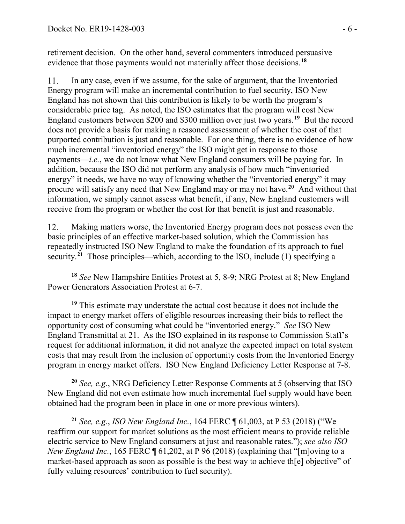retirement decision. On the other hand, several commenters introduced persuasive evidence that those payments would not materially affect those decisions.**[18](#page-60-0)**

In any case, even if we assume, for the sake of argument, that the Inventoried 11. Energy program will make an incremental contribution to fuel security, ISO New England has not shown that this contribution is likely to be worth the program's considerable price tag. As noted, the ISO estimates that the program will cost New England customers between \$200 and \$300 million over just two years.**[19](#page-60-1)** But the record does not provide a basis for making a reasoned assessment of whether the cost of that purported contribution is just and reasonable. For one thing, there is no evidence of how much incremental "inventoried energy" the ISO might get in response to those payments—*i.e.*, we do not know what New England consumers will be paying for. In addition, because the ISO did not perform any analysis of how much "inventoried energy" it needs, we have no way of knowing whether the "inventoried energy" it may procure will satisfy any need that New England may or may not have.**[20](#page-60-2)** And without that information, we simply cannot assess what benefit, if any, New England customers will receive from the program or whether the cost for that benefit is just and reasonable.

12. Making matters worse, the Inventoried Energy program does not possess even the basic principles of an effective market-based solution, which the Commission has repeatedly instructed ISO New England to make the foundation of its approach to fuel security.<sup>[21](#page-60-3)</sup> Those principles—which, according to the ISO, include (1) specifying a

<span id="page-60-0"></span> $\overline{a}$ **<sup>18</sup>** *See* New Hampshire Entities Protest at 5, 8-9; NRG Protest at 8; New England Power Generators Association Protest at 6-7.

<span id="page-60-1"></span>**<sup>19</sup>** This estimate may understate the actual cost because it does not include the impact to energy market offers of eligible resources increasing their bids to reflect the opportunity cost of consuming what could be "inventoried energy." *See* ISO New England Transmittal at 21. As the ISO explained in its response to Commission Staff's request for additional information, it did not analyze the expected impact on total system costs that may result from the inclusion of opportunity costs from the Inventoried Energy program in energy market offers. ISO New England Deficiency Letter Response at 7-8.

<span id="page-60-2"></span>**<sup>20</sup>** *See, e.g.*, NRG Deficiency Letter Response Comments at 5 (observing that ISO New England did not even estimate how much incremental fuel supply would have been obtained had the program been in place in one or more previous winters).

<span id="page-60-3"></span>**<sup>21</sup>** *See, e.g.*, *ISO New England Inc.*, 164 FERC ¶ 61,003, at P 53 (2018) ("We reaffirm our support for market solutions as the most efficient means to provide reliable electric service to New England consumers at just and reasonable rates."); *see also ISO New England Inc.*, 165 FERC ¶ 61,202, at P 96 (2018) (explaining that "[m]oving to a market-based approach as soon as possible is the best way to achieve th[e] objective" of fully valuing resources' contribution to fuel security).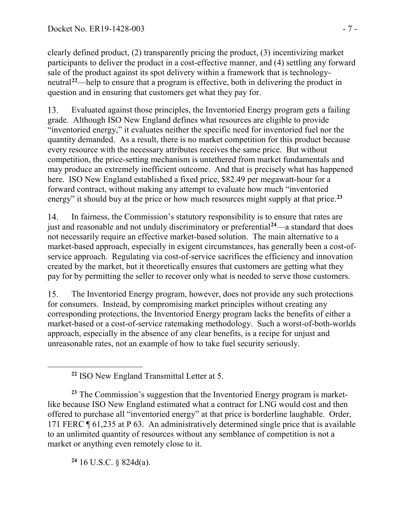clearly defined product, (2) transparently pricing the product, (3) incentivizing market participants to deliver the product in a cost-effective manner, and (4) settling any forward sale of the product against its spot delivery within a framework that is technologyneutral**[22](#page-61-0)**—help to ensure that a program is effective, both in delivering the product in question and in ensuring that customers get what they pay for.

13. Evaluated against those principles, the Inventoried Energy program gets a failing grade. Although ISO New England defines what resources are eligible to provide "inventoried energy," it evaluates neither the specific need for inventoried fuel nor the quantity demanded. As a result, there is no market competition for this product because every resource with the necessary attributes receives the same price. But without competition, the price-setting mechanism is untethered from market fundamentals and may produce an extremely inefficient outcome. And that is precisely what has happened here. ISO New England established a fixed price, \$82.49 per megawatt-hour for a forward contract, without making any attempt to evaluate how much "inventoried energy" it should buy at the price or how much resources might supply at that price.**[23](#page-61-1)**

 $14.$ In fairness, the Commission's statutory responsibility is to ensure that rates are just and reasonable and not unduly discriminatory or preferential**[24](#page-61-2)**—a standard that does not necessarily require an effective market-based solution. The main alternative to a market-based approach, especially in exigent circumstances, has generally been a cost-ofservice approach. Regulating via cost-of-service sacrifices the efficiency and innovation created by the market, but it theoretically ensures that customers are getting what they pay for by permitting the seller to recover only what is needed to serve those customers.

15. The Inventoried Energy program, however, does not provide any such protections for consumers. Instead, by compromising market principles without creating any corresponding protections, the Inventoried Energy program lacks the benefits of either a market-based or a cost-of-service ratemaking methodology. Such a worst-of-both-worlds approach, especially in the absence of any clear benefits, is a recipe for unjust and unreasonable rates, not an example of how to take fuel security seriously.

<span id="page-61-1"></span>**<sup>23</sup>** The Commission's suggestion that the Inventoried Energy program is marketlike because ISO New England estimated what a contract for LNG would cost and then offered to purchase all "inventoried energy" at that price is borderline laughable. Order, 171 FERC ¶ 61,235 at P 63. An administratively determined single price that is available to an unlimited quantity of resources without any semblance of competition is not a market or anything even remotely close to it.

<span id="page-61-2"></span>**<sup>24</sup>** 16 U.S.C. § 824d(a).

<span id="page-61-0"></span> $\overline{a}$ 

**<sup>22</sup>** ISO New England Transmittal Letter at 5.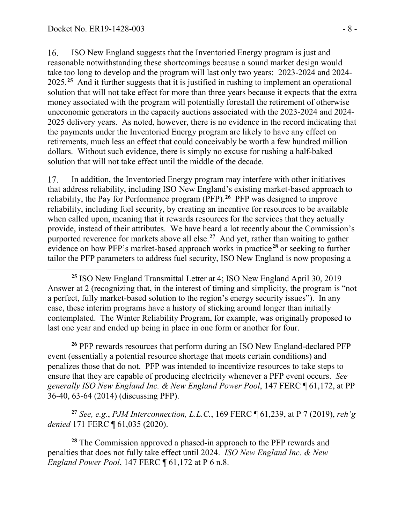$\overline{a}$ 

16. ISO New England suggests that the Inventoried Energy program is just and reasonable notwithstanding these shortcomings because a sound market design would take too long to develop and the program will last only two years: 2023-2024 and 2024- 2025.**[25](#page-62-0)** And it further suggests that it is justified in rushing to implement an operational solution that will not take effect for more than three years because it expects that the extra money associated with the program will potentially forestall the retirement of otherwise uneconomic generators in the capacity auctions associated with the 2023-2024 and 2024- 2025 delivery years. As noted, however, there is no evidence in the record indicating that the payments under the Inventoried Energy program are likely to have any effect on retirements, much less an effect that could conceivably be worth a few hundred million dollars. Without such evidence, there is simply no excuse for rushing a half-baked solution that will not take effect until the middle of the decade.

17. In addition, the Inventoried Energy program may interfere with other initiatives that address reliability, including ISO New England's existing market-based approach to reliability, the Pay for Performance program (PFP).**[26](#page-62-1)** PFP was designed to improve reliability, including fuel security, by creating an incentive for resources to be available when called upon, meaning that it rewards resources for the services that they actually provide, instead of their attributes. We have heard a lot recently about the Commission's purported reverence for markets above all else.**[27](#page-62-2)** And yet, rather than waiting to gather evidence on how PFP's market-based approach works in practice**[28](#page-62-3)** or seeking to further tailor the PFP parameters to address fuel security, ISO New England is now proposing a

<span id="page-62-1"></span>**<sup>26</sup>** PFP rewards resources that perform during an ISO New England-declared PFP event (essentially a potential resource shortage that meets certain conditions) and penalizes those that do not. PFP was intended to incentivize resources to take steps to ensure that they are capable of producing electricity whenever a PFP event occurs. *See generally ISO New England Inc. & New England Power Pool*, 147 FERC ¶ 61,172, at PP 36-40, 63-64 (2014) (discussing PFP).

<span id="page-62-2"></span>**<sup>27</sup>** *See, e.g.*, *PJM Interconnection, L.L.C.*, 169 FERC ¶ 61,239, at P 7 (2019), *reh'g denied* 171 FERC ¶ 61,035 (2020).

<span id="page-62-3"></span>**<sup>28</sup>** The Commission approved a phased-in approach to the PFP rewards and penalties that does not fully take effect until 2024. *ISO New England Inc. & New England Power Pool*, 147 FERC ¶ 61,172 at P 6 n.8.

<span id="page-62-0"></span>**<sup>25</sup>** ISO New England Transmittal Letter at 4; ISO New England April 30, 2019 Answer at 2 (recognizing that, in the interest of timing and simplicity, the program is "not a perfect, fully market-based solution to the region's energy security issues"). In any case, these interim programs have a history of sticking around longer than initially contemplated. The Winter Reliability Program, for example, was originally proposed to last one year and ended up being in place in one form or another for four.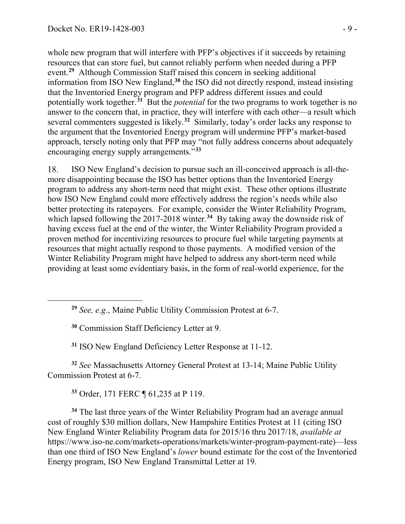<span id="page-63-1"></span><span id="page-63-0"></span> $\overline{a}$ 

whole new program that will interfere with PFP's objectives if it succeeds by retaining resources that can store fuel, but cannot reliably perform when needed during a PFP event.**[29](#page-63-0)** Although Commission Staff raised this concern in seeking additional information from ISO New England,**[30](#page-63-1)** the ISO did not directly respond, instead insisting that the Inventoried Energy program and PFP address different issues and could potentially work together.**[31](#page-63-2)** But the *potential* for the two programs to work together is no answer to the concern that, in practice, they will interfere with each other—a result which several commenters suggested is likely.**[32](#page-63-3)** Similarly, today's order lacks any response to the argument that the Inventoried Energy program will undermine PFP's market-based approach, tersely noting only that PFP may "not fully address concerns about adequately encouraging energy supply arrangements."**[33](#page-63-4)**

18. ISO New England's decision to pursue such an ill-conceived approach is all-themore disappointing because the ISO has better options than the Inventoried Energy program to address any short-term need that might exist. These other options illustrate how ISO New England could more effectively address the region's needs while also better protecting its ratepayers. For example, consider the Winter Reliability Program, which lapsed following the 2017-2018 winter.<sup>[34](#page-63-5)</sup> By taking away the downside risk of having excess fuel at the end of the winter, the Winter Reliability Program provided a proven method for incentivizing resources to procure fuel while targeting payments at resources that might actually respond to those payments. A modified version of the Winter Reliability Program might have helped to address any short-term need while providing at least some evidentiary basis, in the form of real-world experience, for the

**<sup>30</sup>** Commission Staff Deficiency Letter at 9.

**<sup>31</sup>** ISO New England Deficiency Letter Response at 11-12.

<span id="page-63-3"></span><span id="page-63-2"></span>**<sup>32</sup>** *See* Massachusetts Attorney General Protest at 13-14; Maine Public Utility Commission Protest at 6-7.

**<sup>33</sup>** Order, 171 FERC ¶ 61,235 at P 119.

<span id="page-63-5"></span><span id="page-63-4"></span>**<sup>34</sup>** The last three years of the Winter Reliability Program had an average annual cost of roughly \$30 million dollars, New Hampshire Entities Protest at 11 (citing ISO New England Winter Reliability Program data for 2015/16 thru 2017/18, *available at*  https://www.iso-ne.com/markets-operations/markets/winter-program-payment-rate)—less than one third of ISO New England's *lower* bound estimate for the cost of the Inventoried Energy program, ISO New England Transmittal Letter at 19.

**<sup>29</sup>** *See, e.g.*, Maine Public Utility Commission Protest at 6-7.